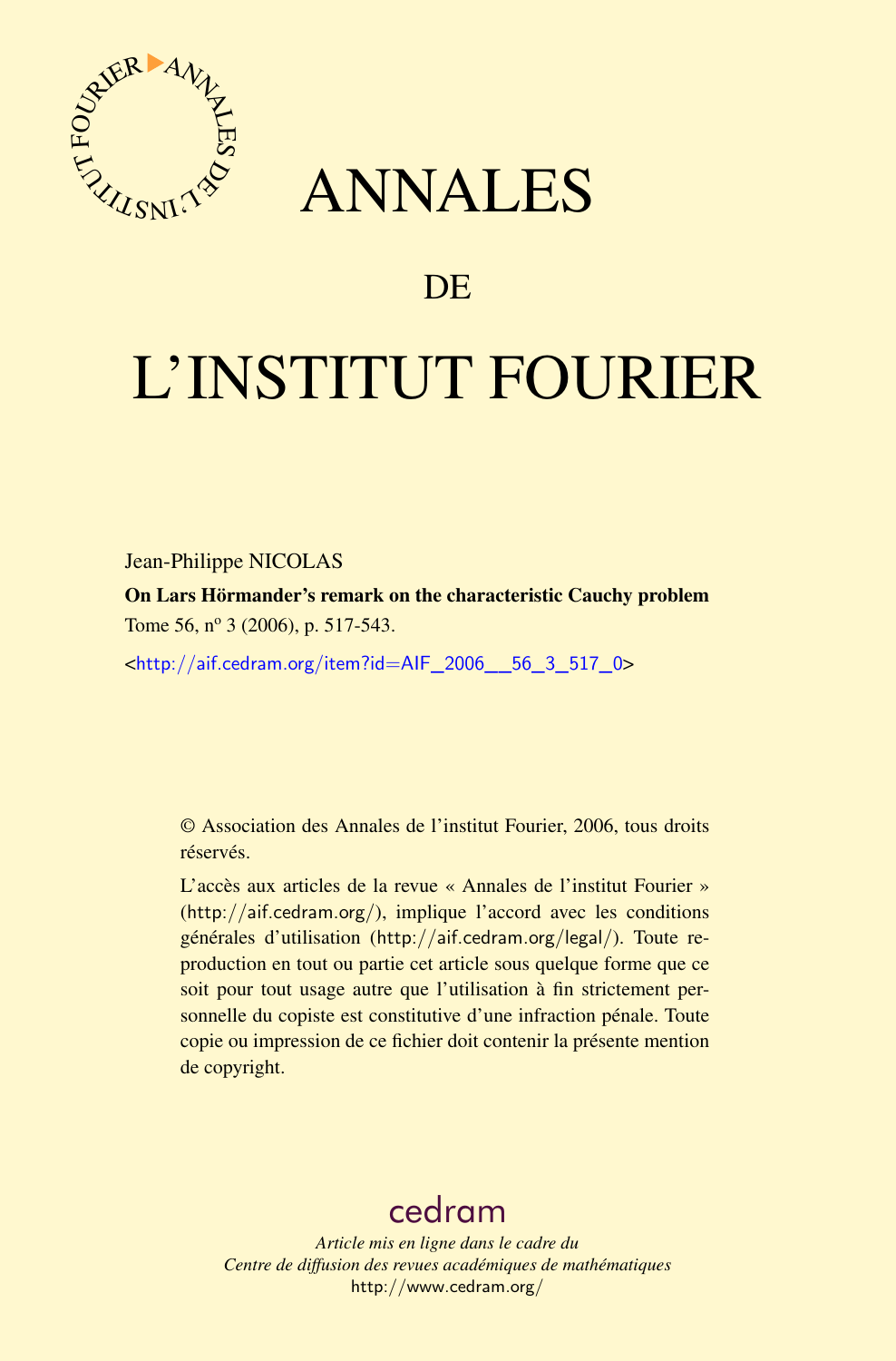

## ANNALES

## **DE**

# L'INSTITUT FOURIER

Jean-Philippe NICOLAS

On Lars Hörmander's remark on the characteristic Cauchy problem Tome 56, nº 3 (2006), p. 517-543.

<[http://aif.cedram.org/item?id=AIF\\_2006\\_\\_56\\_3\\_517\\_0](http://aif.cedram.org/item?id=AIF_2006__56_3_517_0)>

© Association des Annales de l'institut Fourier, 2006, tous droits réservés.

L'accès aux articles de la revue « Annales de l'institut Fourier » (<http://aif.cedram.org/>), implique l'accord avec les conditions générales d'utilisation (<http://aif.cedram.org/legal/>). Toute reproduction en tout ou partie cet article sous quelque forme que ce soit pour tout usage autre que l'utilisation à fin strictement personnelle du copiste est constitutive d'une infraction pénale. Toute copie ou impression de ce fichier doit contenir la présente mention de copyright.

## [cedram](http://www.cedram.org/)

*Article mis en ligne dans le cadre du Centre de diffusion des revues académiques de mathématiques* <http://www.cedram.org/>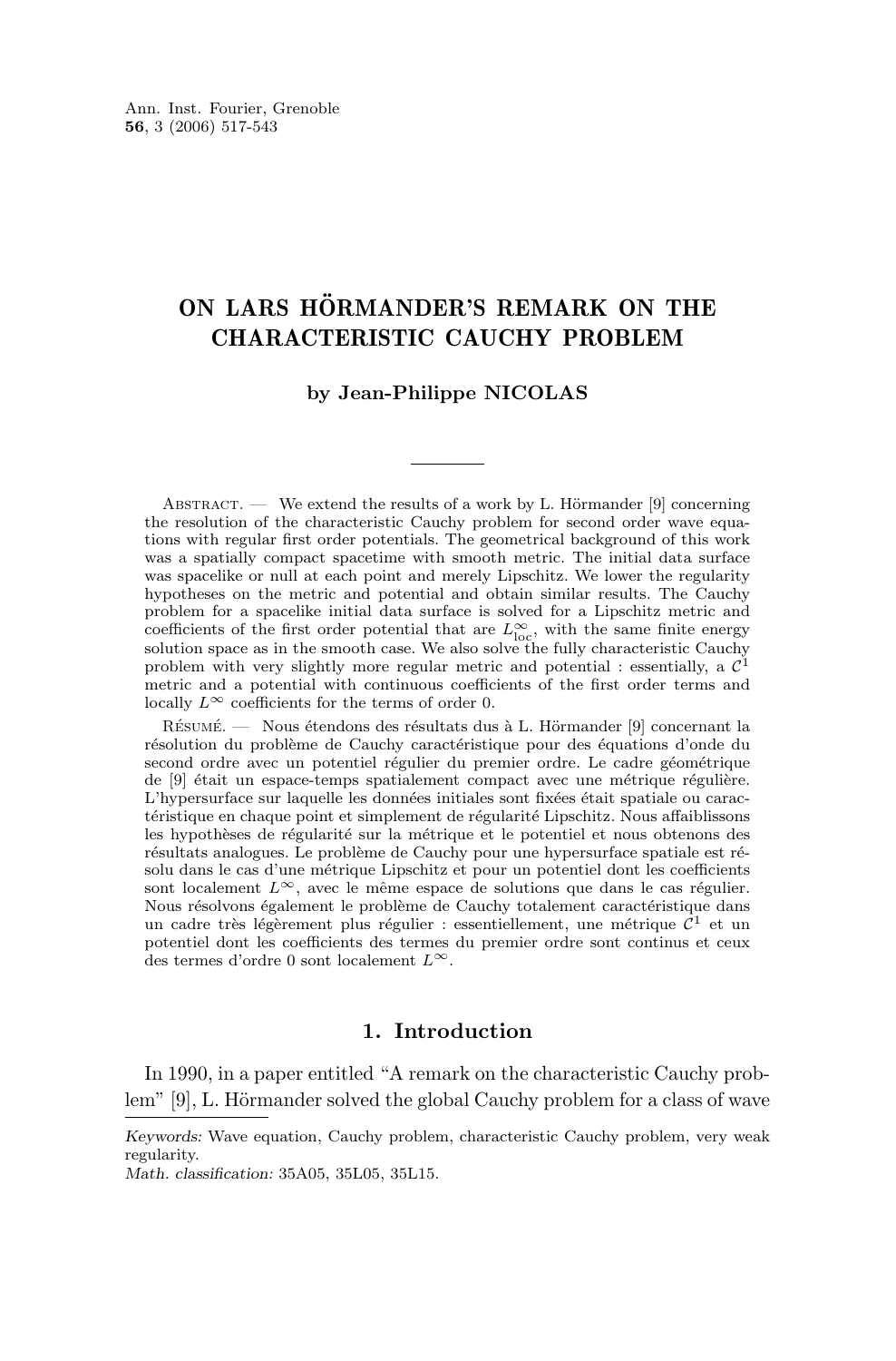### ON LARS HÖRMANDER'S REMARK ON THE CHARACTERISTIC CAUCHY PROBLEM

#### **by Jean-Philippe NICOLAS**

ABSTRACT. — We extend the results of a work by L. Hörmander  $[9]$  concerning the resolution of the characteristic Cauchy problem for second order wave equations with regular first order potentials. The geometrical background of this work was a spatially compact spacetime with smooth metric. The initial data surface was spacelike or null at each point and merely Lipschitz. We lower the regularity hypotheses on the metric and potential and obtain similar results. The Cauchy problem for a spacelike initial data surface is solved for a Lipschitz metric and coefficients of the first order potential that are  $L^{\infty}_{\text{loc}}$ , with the same finite energy solution space as in the smooth case. We also solve the fully characteristic Cauchy problem with very slightly more regular metric and potential : essentially, a  $\mathcal{C}^1$ metric and a potential with continuous coefficients of the first order terms and locally  $L^{\infty}$  coefficients for the terms of order 0.

Résumé. — Nous étendons des résultats dus à L. Hörmander [9] concernant la résolution du problème de Cauchy caractéristique pour des équations d'onde du second ordre avec un potentiel régulier du premier ordre. Le cadre géométrique de [9] était un espace-temps spatialement compact avec une métrique régulière. L'hypersurface sur laquelle les données initiales sont fixées était spatiale ou caractéristique en chaque point et simplement de régularité Lipschitz. Nous affaiblissons les hypothèses de régularité sur la métrique et le potentiel et nous obtenons des résultats analogues. Le problème de Cauchy pour une hypersurface spatiale est résolu dans le cas d'une métrique Lipschitz et pour un potentiel dont les coefficients sont localement  $L^{\infty}$ , avec le même espace de solutions que dans le cas régulier. Nous résolvons également le problème de Cauchy totalement caractéristique dans un cadre très légèrement plus régulier : essentiellement, une métrique  $\mathcal{C}^1$  et un potentiel dont les coefficients des termes du premier ordre sont continus et ceux des termes d'ordre $0$  sont localement  $L^\infty.$ 

#### **1. Introduction**

In 1990, in a paper entitled "A remark on the characteristic Cauchy problem" [\[9\]](#page-27-0), L. Hörmander solved the global Cauchy problem for a class of wave

*Keywords:* Wave equation, Cauchy problem, characteristic Cauchy problem, very weak regularity.

*Math. classification:* 35A05, 35L05, 35L15.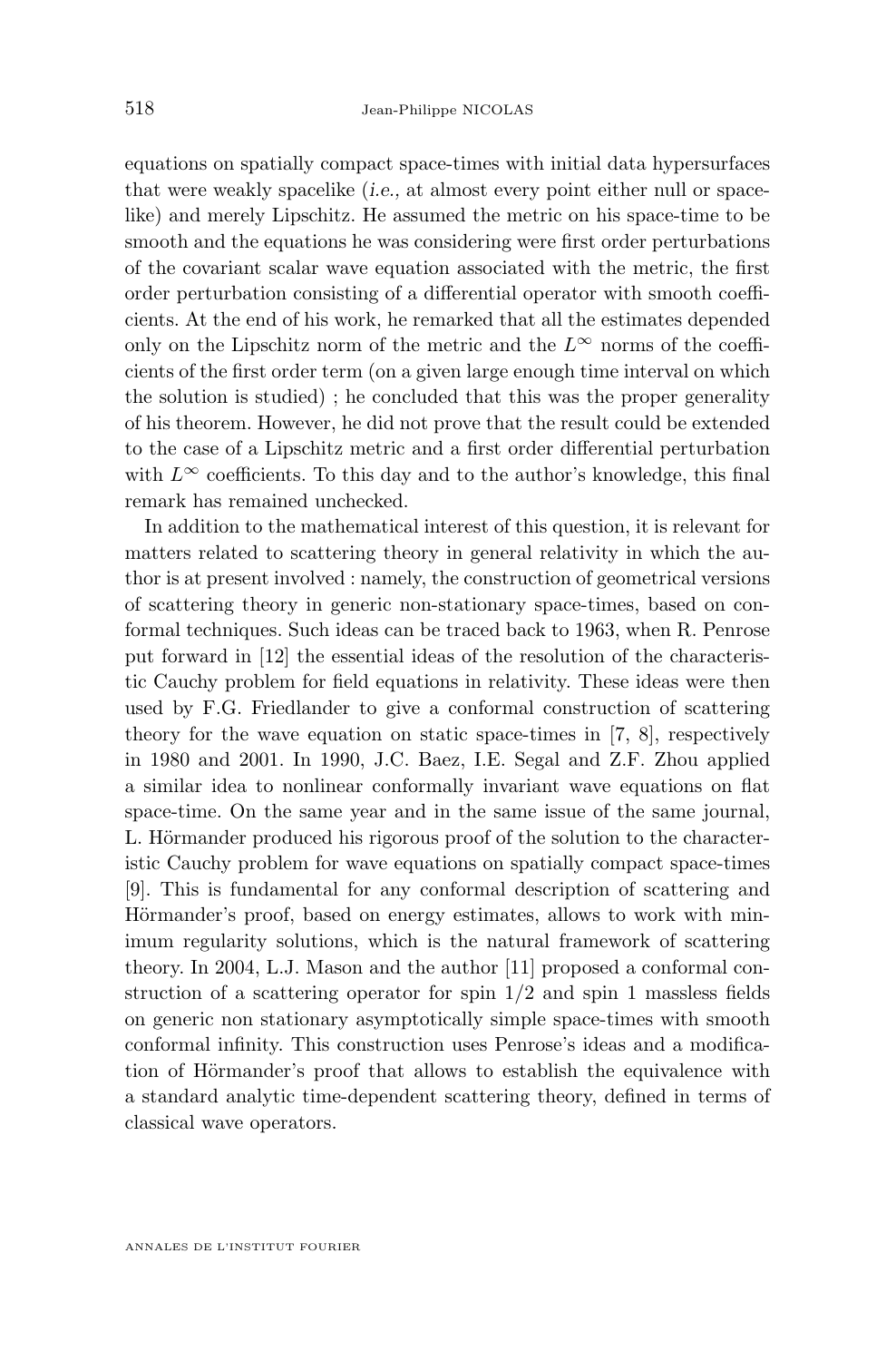equations on spatially compact space-times with initial data hypersurfaces that were weakly spacelike (*i.e.,* at almost every point either null or spacelike) and merely Lipschitz. He assumed the metric on his space-time to be smooth and the equations he was considering were first order perturbations of the covariant scalar wave equation associated with the metric, the first order perturbation consisting of a differential operator with smooth coefficients. At the end of his work, he remarked that all the estimates depended only on the Lipschitz norm of the metric and the  $L^{\infty}$  norms of the coefficients of the first order term (on a given large enough time interval on which the solution is studied) ; he concluded that this was the proper generality of his theorem. However, he did not prove that the result could be extended to the case of a Lipschitz metric and a first order differential perturbation with  $L^{\infty}$  coefficients. To this day and to the author's knowledge, this final remark has remained unchecked.

In addition to the mathematical interest of this question, it is relevant for matters related to scattering theory in general relativity in which the author is at present involved : namely, the construction of geometrical versions of scattering theory in generic non-stationary space-times, based on conformal techniques. Such ideas can be traced back to 1963, when R. Penrose put forward in [\[12\]](#page-27-0) the essential ideas of the resolution of the characteristic Cauchy problem for field equations in relativity. These ideas were then used by F.G. Friedlander to give a conformal construction of scattering theory for the wave equation on static space-times in [\[7,](#page-27-0) [8\]](#page-27-0), respectively in 1980 and 2001. In 1990, J.C. Baez, I.E. Segal and Z.F. Zhou applied a similar idea to nonlinear conformally invariant wave equations on flat space-time. On the same year and in the same issue of the same journal, L. Hörmander produced his rigorous proof of the solution to the characteristic Cauchy problem for wave equations on spatially compact space-times [\[9\]](#page-27-0). This is fundamental for any conformal description of scattering and Hörmander's proof, based on energy estimates, allows to work with minimum regularity solutions, which is the natural framework of scattering theory. In 2004, L.J. Mason and the author [\[11\]](#page-27-0) proposed a conformal construction of a scattering operator for spin  $1/2$  and spin 1 massless fields on generic non stationary asymptotically simple space-times with smooth conformal infinity. This construction uses Penrose's ideas and a modification of Hörmander's proof that allows to establish the equivalence with a standard analytic time-dependent scattering theory, defined in terms of classical wave operators.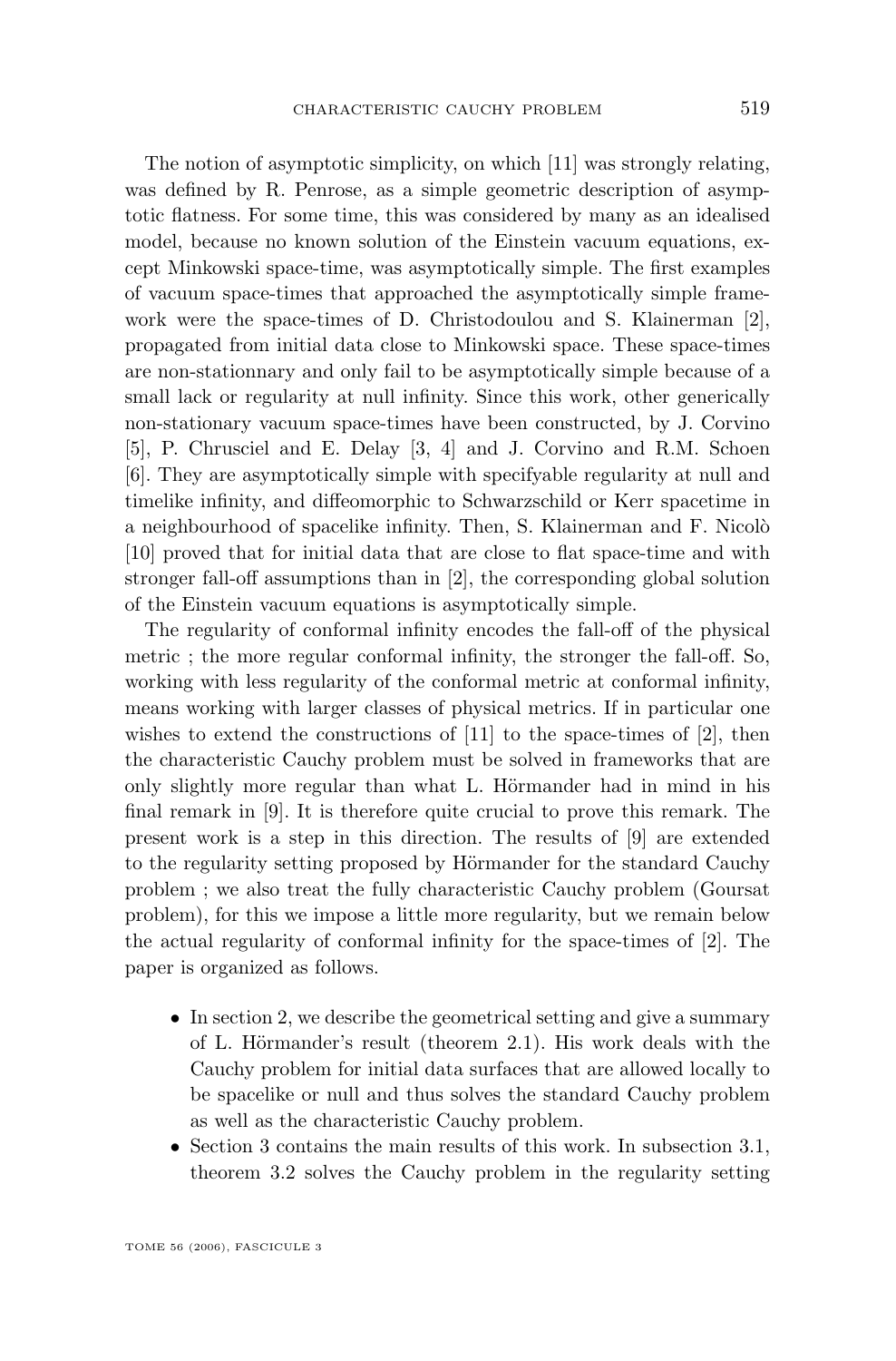The notion of asymptotic simplicity, on which [\[11\]](#page-27-0) was strongly relating, was defined by R. Penrose, as a simple geometric description of asymptotic flatness. For some time, this was considered by many as an idealised model, because no known solution of the Einstein vacuum equations, except Minkowski space-time, was asymptotically simple. The first examples of vacuum space-times that approached the asymptotically simple framework were the space-times of D. Christodoulou and S. Klainerman [\[2\]](#page-27-0), propagated from initial data close to Minkowski space. These space-times are non-stationnary and only fail to be asymptotically simple because of a small lack or regularity at null infinity. Since this work, other generically non-stationary vacuum space-times have been constructed, by J. Corvino [\[5\]](#page-27-0), P. Chrusciel and E. Delay [\[3,](#page-27-0) [4\]](#page-27-0) and J. Corvino and R.M. Schoen [\[6\]](#page-27-0). They are asymptotically simple with specifyable regularity at null and timelike infinity, and diffeomorphic to Schwarzschild or Kerr spacetime in a neighbourhood of spacelike infinity. Then, S. Klainerman and F. Nicolò [\[10\]](#page-27-0) proved that for initial data that are close to flat space-time and with stronger fall-off assumptions than in [\[2\]](#page-27-0), the corresponding global solution of the Einstein vacuum equations is asymptotically simple.

The regularity of conformal infinity encodes the fall-off of the physical metric ; the more regular conformal infinity, the stronger the fall-off. So, working with less regularity of the conformal metric at conformal infinity, means working with larger classes of physical metrics. If in particular one wishes to extend the constructions of  $[11]$  to the space-times of  $[2]$ , then the characteristic Cauchy problem must be solved in frameworks that are only slightly more regular than what L. Hörmander had in mind in his final remark in [\[9\]](#page-27-0). It is therefore quite crucial to prove this remark. The present work is a step in this direction. The results of [\[9\]](#page-27-0) are extended to the regularity setting proposed by Hörmander for the standard Cauchy problem ; we also treat the fully characteristic Cauchy problem (Goursat problem), for this we impose a little more regularity, but we remain below the actual regularity of conformal infinity for the space-times of [\[2\]](#page-27-0). The paper is organized as follows.

- In section [2,](#page-4-0) we describe the geometrical setting and give a summary of L. Hörmander's result (theorem [2.1\)](#page-7-0). His work deals with the Cauchy problem for initial data surfaces that are allowed locally to be spacelike or null and thus solves the standard Cauchy problem as well as the characteristic Cauchy problem.
- Section [3](#page-8-0) contains the main results of this work. In subsection [3.1,](#page-8-0) theorem [3.2](#page-9-0) solves the Cauchy problem in the regularity setting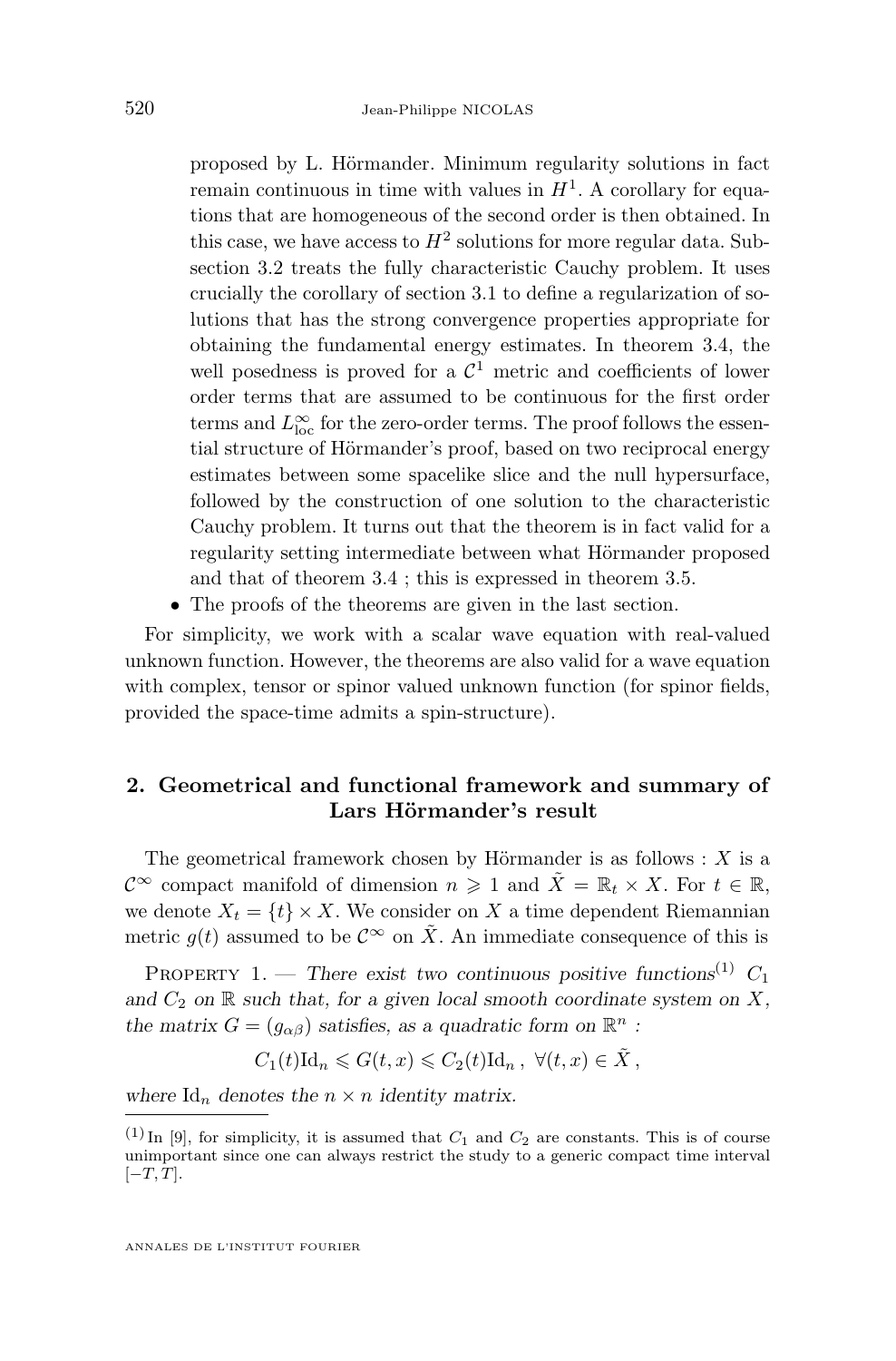<span id="page-4-0"></span>proposed by L. Hörmander. Minimum regularity solutions in fact remain continuous in time with values in  $H<sup>1</sup>$ . A corollary for equations that are homogeneous of the second order is then obtained. In this case, we have access to  $H^2$  solutions for more regular data. Subsection [3.2](#page-10-0) treats the fully characteristic Cauchy problem. It uses crucially the corollary of section [3.1](#page-8-0) to define a regularization of solutions that has the strong convergence properties appropriate for obtaining the fundamental energy estimates. In theorem [3.4,](#page-10-0) the well posedness is proved for a  $\mathcal{C}^1$  metric and coefficients of lower order terms that are assumed to be continuous for the first order terms and  $L^\infty_{\text{loc}}$  for the zero-order terms. The proof follows the essential structure of Hörmander's proof, based on two reciprocal energy estimates between some spacelike slice and the null hypersurface, followed by the construction of one solution to the characteristic Cauchy problem. It turns out that the theorem is in fact valid for a regularity setting intermediate between what Hörmander proposed and that of theorem [3.4](#page-10-0) ; this is expressed in theorem [3.5.](#page-10-0)

• The proofs of the theorems are given in the last section.

For simplicity, we work with a scalar wave equation with real-valued unknown function. However, the theorems are also valid for a wave equation with complex, tensor or spinor valued unknown function (for spinor fields, provided the space-time admits a spin-structure).

#### **2. Geometrical and functional framework and summary of Lars Hörmander's result**

The geometrical framework chosen by Hörmander is as follows :  $X$  is a  $\mathcal{C}^{\infty}$  compact manifold of dimension  $n \geq 1$  and  $\tilde{X} = \mathbb{R}_t \times X$ . For  $t \in \mathbb{R}$ , we denote  $X_t = \{t\} \times X$ . We consider on X a time dependent Riemannian metric  $g(t)$  assumed to be  $\mathcal{C}^{\infty}$  on  $\tilde{X}$ . An immediate consequence of this is

PROPERTY 1. — *There exist two continuous positive functions*<sup>(1)</sup>  $C_1$ and  $C_2$  on  $\mathbb R$  *such that, for a given local smooth coordinate system on*  $X$ *, the matrix*  $G = (g_{\alpha\beta})$  *satisfies, as a quadratic form on*  $\mathbb{R}^n$  *:* 

$$
C_1(t)\mathrm{Id}_n \leqslant G(t,x) \leqslant C_2(t)\mathrm{Id}_n, \ \forall (t,x) \in \tilde{X},
$$

where  $\mathrm{Id}_n$  denotes the  $n \times n$  *identity matrix.* 

 $(1)$  In [\[9\]](#page-27-0), for simplicity, it is assumed that  $C_1$  and  $C_2$  are constants. This is of course unimportant since one can always restrict the study to a generic compact time interval  $[-T, T].$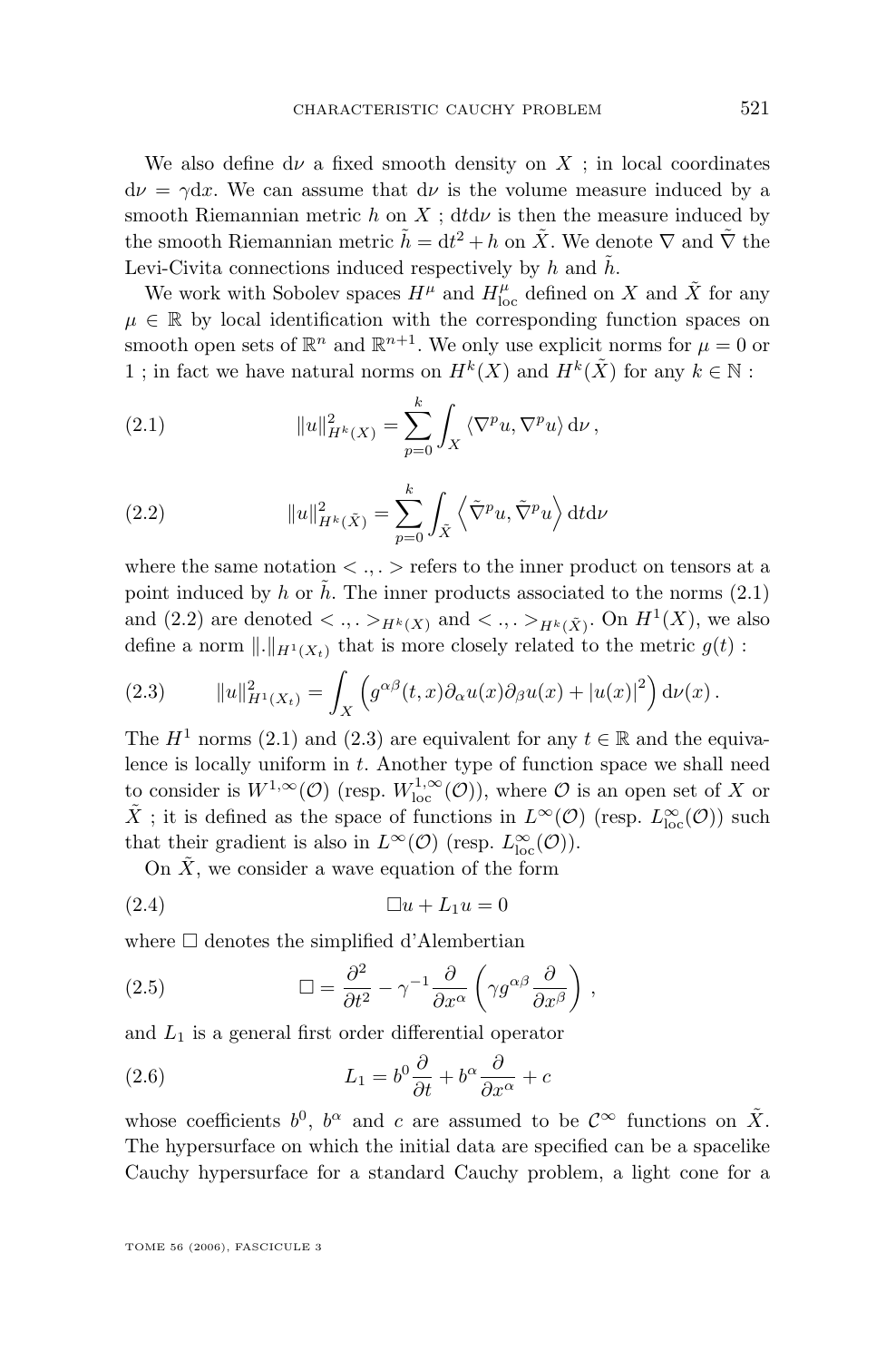<span id="page-5-0"></span>We also define  $d\nu$  a fixed smooth density on X ; in local coordinates  $d\nu = \gamma dx$ . We can assume that  $d\nu$  is the volume measure induced by a smooth Riemannian metric h on X ; dtd $\nu$  is then the measure induced by the smooth Riemannian metric  $\tilde{h} = dt^2 + h$  on  $\tilde{X}$ . We denote  $\nabla$  and  $\tilde{\nabla}$  the Levi-Civita connections induced respectively by h and  $\tilde{h}$ .

We work with Sobolev spaces  $H^{\mu}$  and  $H_{\text{loc}}^{\mu}$  defined on X and  $\tilde{X}$  for any  $\mu \in \mathbb{R}$  by local identification with the corresponding function spaces on smooth open sets of  $\mathbb{R}^n$  and  $\mathbb{R}^{n+1}$ . We only use explicit norms for  $\mu = 0$  or 1; in fact we have natural norms on  $H^k(X)$  and  $H^k(\tilde{X})$  for any  $k \in \mathbb{N}$ :

(2.1) 
$$
||u||_{H^k(X)}^2 = \sum_{p=0}^k \int_X \langle \nabla^p u, \nabla^p u \rangle d\nu,
$$

(2.2) 
$$
||u||_{H^k(\tilde{X})}^2 = \sum_{p=0}^k \int_{\tilde{X}} \left\langle \tilde{\nabla}^p u, \tilde{\nabla}^p u \right\rangle dt d\nu
$$

where the same notation  $\langle \cdot, \cdot \rangle$  refers to the inner product on tensors at a point induced by h or h. The inner products associated to the norms  $(2.1)$ and (2.2) are denoted  $\langle \dots \rangle_{H^k(X)}$  and  $\langle \dots \rangle_{H^k(\tilde{X})}$ . On  $H^1(X)$ , we also define a norm  $\|.\|_{H^1(X_t)}$  that is more closely related to the metric  $g(t)$ :

(2.3) 
$$
||u||_{H^1(X_t)}^2 = \int_X \left( g^{\alpha\beta}(t,x) \partial_\alpha u(x) \partial_\beta u(x) + |u(x)|^2 \right) d\nu(x).
$$

The  $H^1$  norms (2.1) and (2.3) are equivalent for any  $t \in \mathbb{R}$  and the equivalence is locally uniform in  $t$ . Another type of function space we shall need to consider is  $W^{1,\infty}(\mathcal{O})$  (resp.  $W^{1,\infty}_{loc}(\mathcal{O})$ ), where  $\mathcal O$  is an open set of X or  $\tilde{X}$ ; it is defined as the space of functions in  $L^{\infty}(\mathcal{O})$  (resp.  $L^{\infty}_{\text{loc}}(\mathcal{O})$ ) such that their gradient is also in  $L^{\infty}(\mathcal{O})$  (resp.  $L^{\infty}_{loc}(\mathcal{O})$ ).

On  $X$ , we consider a wave equation of the form

(2.4) u + L1u = 0

where  $\Box$  denotes the simplified d'Alembertian

(2.5) 
$$
\Box = \frac{\partial^2}{\partial t^2} - \gamma^{-1} \frac{\partial}{\partial x^{\alpha}} \left( \gamma g^{\alpha \beta} \frac{\partial}{\partial x^{\beta}} \right),
$$

and  $L_1$  is a general first order differential operator

(2.6) 
$$
L_1 = b^0 \frac{\partial}{\partial t} + b^\alpha \frac{\partial}{\partial x^\alpha} + c
$$

whose coefficients  $b^0$ ,  $b^{\alpha}$  and c are assumed to be  $\mathcal{C}^{\infty}$  functions on  $\tilde{X}$ . The hypersurface on which the initial data are specified can be a spacelike Cauchy hypersurface for a standard Cauchy problem, a light cone for a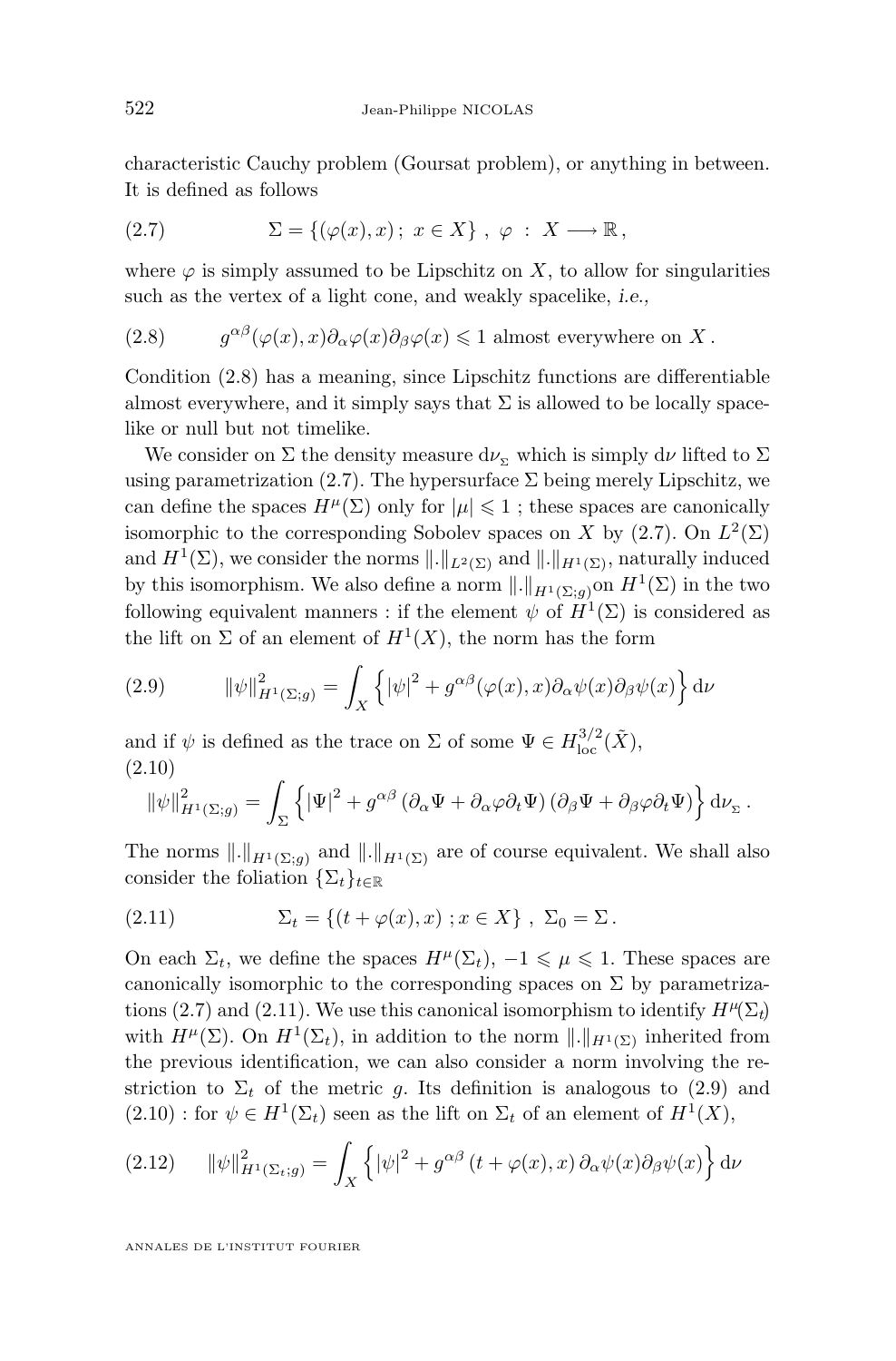<span id="page-6-0"></span>characteristic Cauchy problem (Goursat problem), or anything in between. It is defined as follows

(2.7) 
$$
\Sigma = \{ (\varphi(x), x) \, ; \, x \in X \}, \varphi \, : \, X \longrightarrow \mathbb{R} \, ,
$$

where  $\varphi$  is simply assumed to be Lipschitz on X, to allow for singularities such as the vertex of a light cone, and weakly spacelike, *i.e.,*

(2.8) 
$$
g^{\alpha\beta}(\varphi(x),x)\partial_{\alpha}\varphi(x)\partial_{\beta}\varphi(x) \leq 1 \text{ almost everywhere on } X.
$$

Condition (2.8) has a meaning, since Lipschitz functions are differentiable almost everywhere, and it simply says that  $\Sigma$  is allowed to be locally spacelike or null but not timelike.

We consider on  $\Sigma$  the density measure  $d\nu_{\Sigma}$  which is simply  $d\nu$  lifted to  $\Sigma$ using parametrization (2.7). The hypersurface  $\Sigma$  being merely Lipschitz, we can define the spaces  $H^{\mu}(\Sigma)$  only for  $|\mu| \leq 1$ ; these spaces are canonically isomorphic to the corresponding Sobolev spaces on X by  $(2.7)$ . On  $L^2(\Sigma)$ and  $H^1(\Sigma)$ , we consider the norms  $\|.\|_{L^2(\Sigma)}$  and  $\|.\|_{H^1(\Sigma)}$ , naturally induced by this isomorphism. We also define a norm  $\|.\|_{H^1(\Sigma;g)}$  on  $H^1(\Sigma)$  in the two following equivalent manners : if the element  $\psi$  of  $H^1(\Sigma)$  is considered as the lift on  $\Sigma$  of an element of  $H^1(X)$ , the norm has the form

(2.9) 
$$
\|\psi\|_{H^1(\Sigma;g)}^2 = \int_X \left\{ |\psi|^2 + g^{\alpha\beta}(\varphi(x),x) \partial_\alpha \psi(x) \partial_\beta \psi(x) \right\} d\nu
$$

and if  $\psi$  is defined as the trace on  $\Sigma$  of some  $\Psi \in H^{3/2}_{\text{loc}}(\tilde{X}),$ (2.10)

$$
\|\psi\|_{H^1(\Sigma; g)}^2 = \int_{\Sigma} \left\{ |\Psi|^2 + g^{\alpha\beta} \left( \partial_\alpha \Psi + \partial_\alpha \varphi \partial_t \Psi \right) \left( \partial_\beta \Psi + \partial_\beta \varphi \partial_t \Psi \right) \right\} d\nu_{\Sigma}.
$$

The norms  $\|.\|_{H^1(\Sigma;g)}$  and  $\|.\|_{H^1(\Sigma)}$  are of course equivalent. We shall also consider the foliation  $\{\Sigma_t\}_{t\in\mathbb{R}}$ 

(2.11) 
$$
\Sigma_t = \{(t + \varphi(x), x) \; ; x \in X\}, \; \Sigma_0 = \Sigma.
$$

On each  $\Sigma_t$ , we define the spaces  $H^{\mu}(\Sigma_t)$ ,  $-1 \leq \mu \leq 1$ . These spaces are canonically isomorphic to the corresponding spaces on  $\Sigma$  by parametrizations (2.7) and (2.11). We use this canonical isomorphism to identify  $H^{\mu}(\Sigma_t)$ with  $H^{\mu}(\Sigma)$ . On  $H^1(\Sigma_t)$ , in addition to the norm  $\|.\|_{H^1(\Sigma)}$  inherited from the previous identification, we can also consider a norm involving the restriction to  $\Sigma_t$  of the metric g. Its definition is analogous to (2.9) and  $(2.10)$ : for  $\psi \in H^1(\Sigma_t)$  seen as the lift on  $\Sigma_t$  of an element of  $H^1(X)$ ,

(2.12) 
$$
\|\psi\|_{H^1(\Sigma_t; g)}^2 = \int_X \left\{ |\psi|^2 + g^{\alpha\beta} (t + \varphi(x), x) \partial_\alpha \psi(x) \partial_\beta \psi(x) \right\} d\nu
$$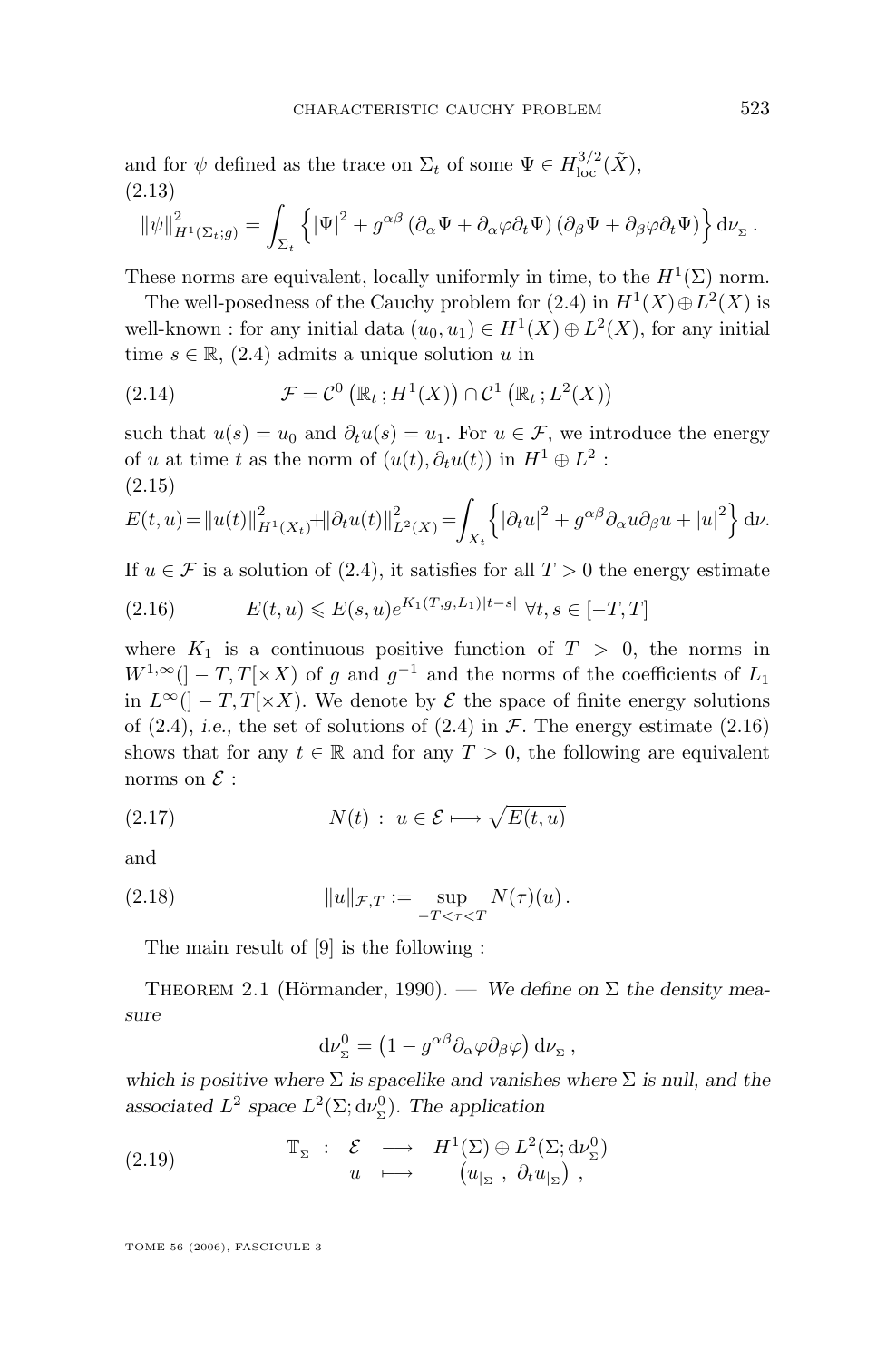<span id="page-7-0"></span>and for  $\psi$  defined as the trace on  $\Sigma_t$  of some  $\Psi \in H^{3/2}_{\text{loc}}(\tilde{X}),$ (2.13)

$$
\|\psi\|_{H^1(\Sigma_t; g)}^2 = \int_{\Sigma_t} \left\{ |\Psi|^2 + g^{\alpha\beta} \left( \partial_\alpha \Psi + \partial_\alpha \varphi \partial_t \Psi \right) \left( \partial_\beta \Psi + \partial_\beta \varphi \partial_t \Psi \right) \right\} d\nu_\Sigma.
$$

These norms are equivalent, locally uniformly in time, to the  $H^1(\Sigma)$  norm.

The well-posedness of the Cauchy problem for  $(2.4)$  in  $H<sup>1</sup>(X) \oplus L<sup>2</sup>(X)$  is well-known : for any initial data  $(u_0, u_1) \in H^1(X) \oplus L^2(X)$ , for any initial time  $s \in \mathbb{R}$ , [\(2.4\)](#page-5-0) admits a unique solution u in

(2.14) 
$$
\mathcal{F} = \mathcal{C}^0 \left( \mathbb{R}_t ; H^1(X) \right) \cap \mathcal{C}^1 \left( \mathbb{R}_t ; L^2(X) \right)
$$

such that  $u(s) = u_0$  and  $\partial_t u(s) = u_1$ . For  $u \in \mathcal{F}$ , we introduce the energy of u at time t as the norm of  $(u(t), \partial_t u(t))$  in  $H^1 \oplus L^2$ : (2.15)

$$
E(t, u) = ||u(t)||_{H^1(X_t)}^2 + ||\partial_t u(t)||_{L^2(X)}^2 = \int_{X_t} \left\{ |\partial_t u|^2 + g^{\alpha \beta} \partial_\alpha u \partial_\beta u + |u|^2 \right\} d\nu.
$$

If  $u \in \mathcal{F}$  is a solution of [\(2.4\)](#page-5-0), it satisfies for all  $T > 0$  the energy estimate

(2.16) 
$$
E(t, u) \leq E(s, u)e^{K_1(T, g, L_1)|t - s|} \ \forall t, s \in [-T, T]
$$

where  $K_1$  is a continuous positive function of  $T > 0$ , the norms in  $W^{1,\infty}$ (] –  $T, T[\times X)$  of g and  $g^{-1}$  and the norms of the coefficients of  $L_1$ in  $L^{\infty}$ (] – T, T[×X). We denote by  $\mathcal E$  the space of finite energy solutions of  $(2.4)$ , *i.e.*, the set of solutions of  $(2.4)$  in  $\mathcal{F}$ . The energy estimate  $(2.16)$ shows that for any  $t \in \mathbb{R}$  and for any  $T > 0$ , the following are equivalent norms on  $\mathcal E$  :

(2.17) 
$$
N(t) : u \in \mathcal{E} \longmapsto \sqrt{E(t, u)}
$$

and

(2.18) 
$$
||u||_{\mathcal{F},T} := \sup_{-T < \tau < T} N(\tau)(u).
$$

The main result of [\[9\]](#page-27-0) is the following :

THEOREM 2.1 (Hörmander, 1990). — We define on  $\Sigma$  the density mea*sure*

$$
\mathrm{d}\nu_{\Sigma}^{0}=\left(1-g^{\alpha\beta}\partial_{\alpha}\varphi\partial_{\beta}\varphi\right)\mathrm{d}\nu_{\Sigma}\,,
$$

*which is positive where*  $\Sigma$  *is spacelike and vanishes where*  $\Sigma$  *is null, and the* associated  $L^2$  space  $L^2(\Sigma; d\nu_{\Sigma}^0)$ . The application

(2.19) 
$$
\mathbb{T}_{\Sigma} : \mathcal{E} \longrightarrow H^{1}(\Sigma) \oplus L^{2}(\Sigma; \mathrm{d} \nu_{\Sigma}^{0}) \n u \longmapsto (u_{|\Sigma}, \partial_{t} u_{|\Sigma}),
$$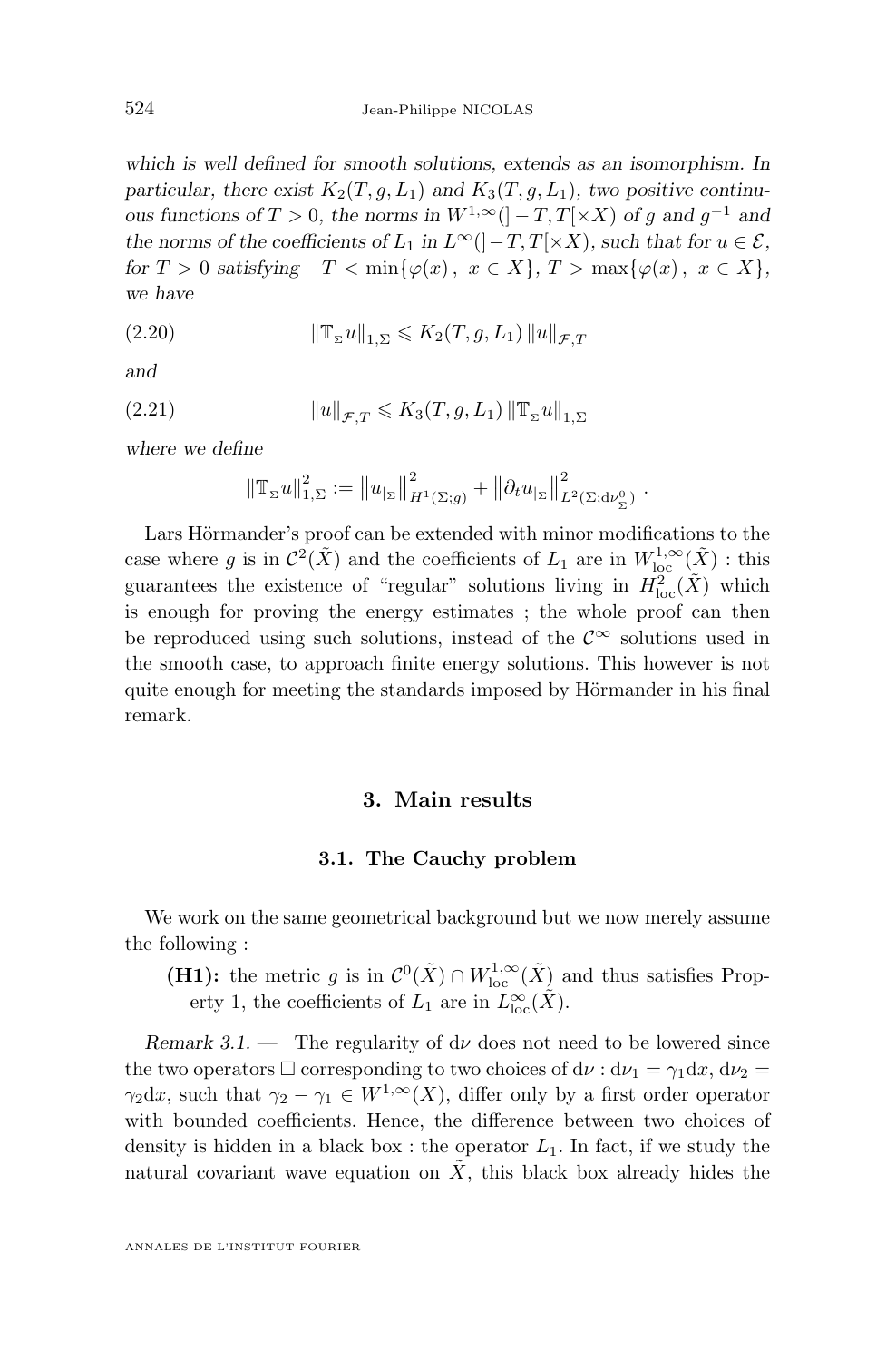<span id="page-8-0"></span>*which is well defined for smooth solutions, extends as an isomorphism. In* particular, there exist  $K_2(T, g, L_1)$  and  $K_3(T, g, L_1)$ , two positive continu*ous functions of*  $T > 0$ *, the norms in*  $W^{1,\infty}$  ( $]-T,T[ \times X)$  *of g and g*<sup>-1</sup> *and the norms of the coefficients of*  $L_1$  *in*  $L^{\infty}$ ( $|-T,T[\times X)$ *, such that for*  $u \in \mathcal{E}$ *, for*  $T > 0$  *satisfying*  $-T < \min\{\varphi(x), x \in X\}, T > \max\{\varphi(x), x \in X\},$ *we have*

(2.20) 
$$
\|\mathbb{T}_{\Sigma}u\|_{1,\Sigma}\leqslant K_2(T,g,L_1)\|u\|_{\mathcal{F},T}
$$

*and*

(2.21) 
$$
||u||_{\mathcal{F},T} \leqslant K_3(T,g,L_1) ||\mathbb{T}_{\Sigma}u||_{1,\Sigma}
$$

*where we define*

$$
\left\| \mathbb{T}_{\Sigma} u \right\|_{1,\Sigma}^2 := \left\| u_{|\Sigma} \right\|_{H^1(\Sigma;g)}^2 + \left\| \partial_t u_{|\Sigma} \right\|_{L^2(\Sigma; \mathrm{d} \nu_{\Sigma}^0)}^2.
$$

Lars Hörmander's proof can be extended with minor modifications to the case where g is in  $\mathcal{C}^2(\tilde{X})$  and the coefficients of  $L_1$  are in  $W^{1,\infty}_{loc}(\tilde{X})$  : this guarantees the existence of "regular" solutions living in  $H^2_{\text{loc}}(\tilde{X})$  which is enough for proving the energy estimates ; the whole proof can then be reproduced using such solutions, instead of the  $\mathcal{C}^{\infty}$  solutions used in the smooth case, to approach finite energy solutions. This however is not quite enough for meeting the standards imposed by Hörmander in his final remark.

#### **3. Main results**

#### **3.1. The Cauchy problem**

We work on the same geometrical background but we now merely assume the following :

**(H1):** the metric g is in  $\mathcal{C}^0(\tilde{X}) \cap W^{1,\infty}_{loc}(\tilde{X})$  and thus satisfies Property 1, the coefficients of  $L_1$  are in  $L^{\infty}_{loc}(\tilde{X})$ .

*Remark 3.1.* — The regularity of  $d\nu$  does not need to be lowered since the two operators  $\Box$  corresponding to two choices of  $d\nu : d\nu_1 = \gamma_1 dx$ ,  $d\nu_2 =$  $\gamma_2 dx$ , such that  $\gamma_2 - \gamma_1 \in W^{1,\infty}(X)$ , differ only by a first order operator with bounded coefficients. Hence, the difference between two choices of density is hidden in a black box : the operator  $L_1$ . In fact, if we study the natural covariant wave equation on  $X$ , this black box already hides the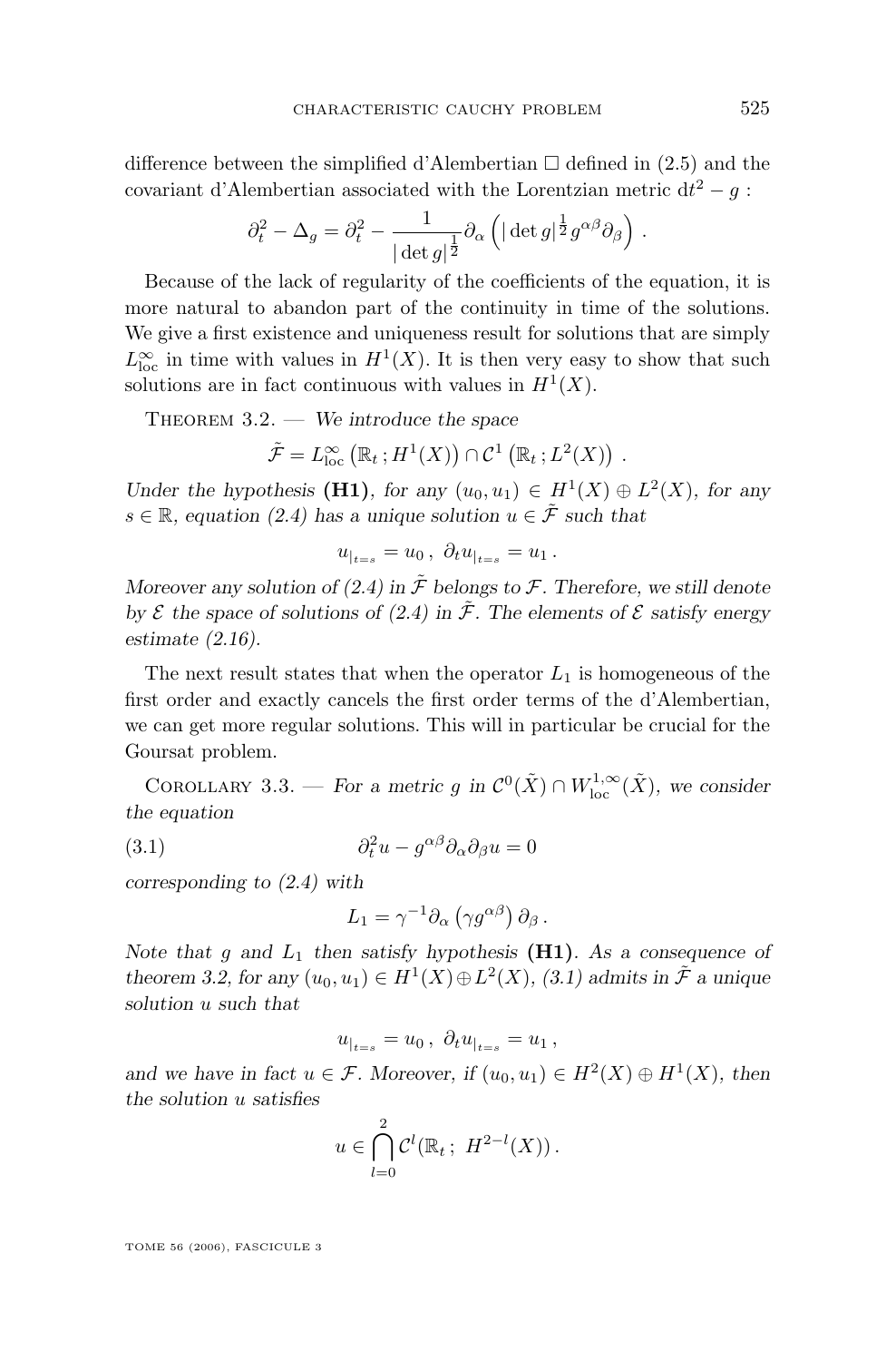<span id="page-9-0"></span>difference between the simplified d'Alembertian  $\square$  defined in [\(2.5\)](#page-5-0) and the covariant d'Alembertian associated with the Lorentzian metric  $dt^2 - g$ :

$$
\partial_t^2 - \Delta_g = \partial_t^2 - \frac{1}{|\det g|^{\frac{1}{2}}} \partial_\alpha \left( |\det g|^{\frac{1}{2}} g^{\alpha \beta} \partial_\beta \right) .
$$

Because of the lack of regularity of the coefficients of the equation, it is more natural to abandon part of the continuity in time of the solutions. We give a first existence and uniqueness result for solutions that are simply  $L^{\infty}_{\text{loc}}$  in time with values in  $H^1(X)$ . It is then very easy to show that such solutions are in fact continuous with values in  $H<sup>1</sup>(X)$ .

THEOREM 3.2. — We introduce the space

$$
\tilde{\mathcal{F}} = L^{\infty}_{loc} (\mathbb{R}_t; H^1(X)) \cap \mathcal{C}^1 (\mathbb{R}_t; L^2(X)) .
$$

*Under the hypothesis* (**H1**)*, for any*  $(u_0, u_1) \in H^1(X) \oplus L^2(X)$ *, for any*  $s \in \mathbb{R}$ , equation [\(2.4\)](#page-5-0) has a unique solution  $u \in \tilde{\mathcal{F}}$  such that

$$
u_{|_{t=s}} = u_0 \, , \, \partial_t u_{|_{t=s}} = u_1 \, .
$$

*Moreover any solution of [\(2.4\)](#page-5-0)* in  $\tilde{\mathcal{F}}$  *belongs to*  $\mathcal{F}$ *. Therefore, we still denote by*  $\mathcal{E}$  the space of solutions of [\(2.4\)](#page-5-0) in  $\tilde{\mathcal{F}}$ . The elements of  $\mathcal{E}$  satisfy energy *estimate [\(2.16\)](#page-7-0).*

The next result states that when the operator  $L_1$  is homogeneous of the first order and exactly cancels the first order terms of the d'Alembertian, we can get more regular solutions. This will in particular be crucial for the Goursat problem.

COROLLARY 3.3. — *For a metric g in*  $\mathcal{C}^0(\tilde{X}) \cap W^{1,\infty}_{\text{loc}}(\tilde{X})$ *, we consider the equation*

(3.1) 
$$
\partial_t^2 u - g^{\alpha\beta} \partial_\alpha \partial_\beta u = 0
$$

*corresponding to [\(2.4\)](#page-5-0) with*

$$
L_1 = \gamma^{-1} \partial_\alpha \left( \gamma g^{\alpha \beta} \right) \partial_\beta.
$$

*Note that* g and  $L_1$  *then satisfy hypothesis* (**H1**)*. As a consequence of theorem* 3.2, for any  $(u_0, u_1) \in H^1(X) \oplus L^2(X)$ , (3.1) admits in  $\tilde{\mathcal{F}}$  a unique *solution* u *such that*

$$
u_{|_{t=s}} = u_0 \, , \, \partial_t u_{|_{t=s}} = u_1 \, ,
$$

*and we have in fact*  $u \in \mathcal{F}$ . Moreover, if  $(u_0, u_1) \in H^2(X) \oplus H^1(X)$ , then *the solution* u *satisfies*

$$
u \in \bigcap_{l=0}^{2} C^{l}(\mathbb{R}_{t}; H^{2-l}(X)).
$$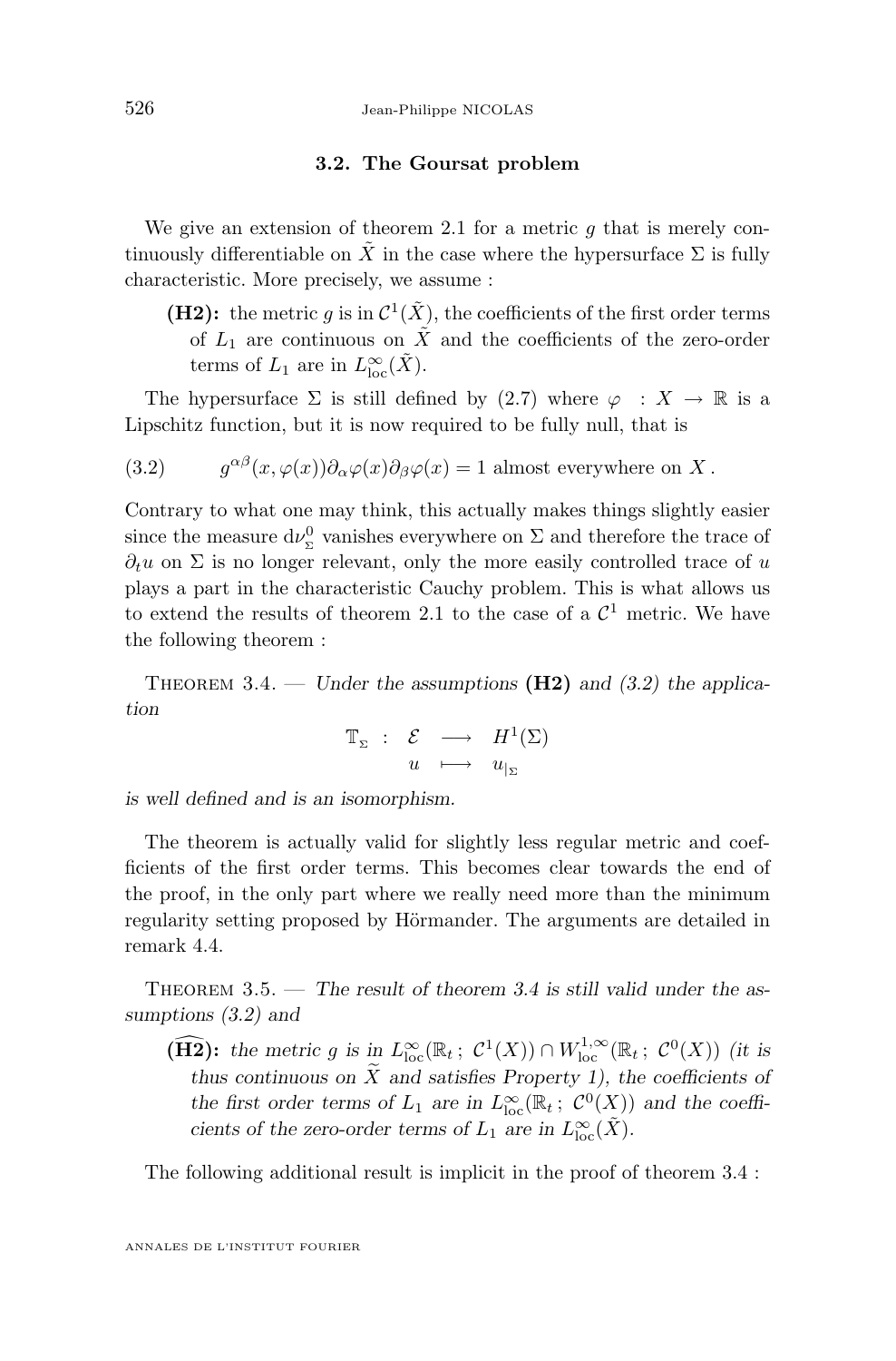#### **3.2. The Goursat problem**

<span id="page-10-0"></span>We give an extension of theorem [2.1](#page-7-0) for a metric  $q$  that is merely continuously differentiable on  $\tilde{X}$  in the case where the hypersurface  $\Sigma$  is fully characteristic. More precisely, we assume :

**(H2):** the metric g is in  $\mathcal{C}^1(\tilde{X})$ , the coefficients of the first order terms of  $L_1$  are continuous on  $\tilde{X}$  and the coefficients of the zero-order terms of  $L_1$  are in  $L_{\text{loc}}^{\infty}(\tilde{X})$ .

The hypersurface  $\Sigma$  is still defined by [\(2.7\)](#page-6-0) where  $\varphi : X \to \mathbb{R}$  is a Lipschitz function, but it is now required to be fully null, that is

(3.2) 
$$
g^{\alpha\beta}(x,\varphi(x))\partial_{\alpha}\varphi(x)\partial_{\beta}\varphi(x) = 1 \text{ almost everywhere on } X.
$$

Contrary to what one may think, this actually makes things slightly easier since the measure  $d\nu_{\Sigma}^{0}$  vanishes everywhere on  $\Sigma$  and therefore the trace of  $\partial_t u$  on  $\Sigma$  is no longer relevant, only the more easily controlled trace of u plays a part in the characteristic Cauchy problem. This is what allows us to extend the results of theorem [2.1](#page-7-0) to the case of a  $\mathcal{C}^1$  metric. We have the following theorem :

THEOREM 3.4. — *Under the assumptions* ( $\textbf{H2}$ ) and (3.2) the applica*tion*

$$
\mathbb{T}_{\Sigma} \ : \ \mathcal{E} \ \longrightarrow \ H^{1}(\Sigma) \\ u \ \longmapsto \ u_{|_{\Sigma}}
$$

*is well defined and is an isomorphism.*

The theorem is actually valid for slightly less regular metric and coefficients of the first order terms. This becomes clear towards the end of the proof, in the only part where we really need more than the minimum regularity setting proposed by Hörmander. The arguments are detailed in remark [4.4.](#page-25-0)

Theorem 3.5. — *The result of theorem 3.4 is still valid under the assumptions (3.2) and*

**(H2):** the metric g is in  $L^{\infty}_{\text{loc}}(\mathbb{R}_t; C^1(X)) \cap W^{1,\infty}_{\text{loc}}(\mathbb{R}_t; C^0(X))$  *(it is thus continuous on*  $\widetilde{X}$  *and satisfies Property 1), the coefficients of the first order terms of*  $L_1$  *are in*  $L^{\infty}_{loc}(\mathbb{R}_t; C^0(X))$  *and the coefficients of the zero-order terms of*  $L_1$  *are in*  $L^{\infty}_{loc}(\tilde{X})$ *.* 

The following additional result is implicit in the proof of theorem 3.4 :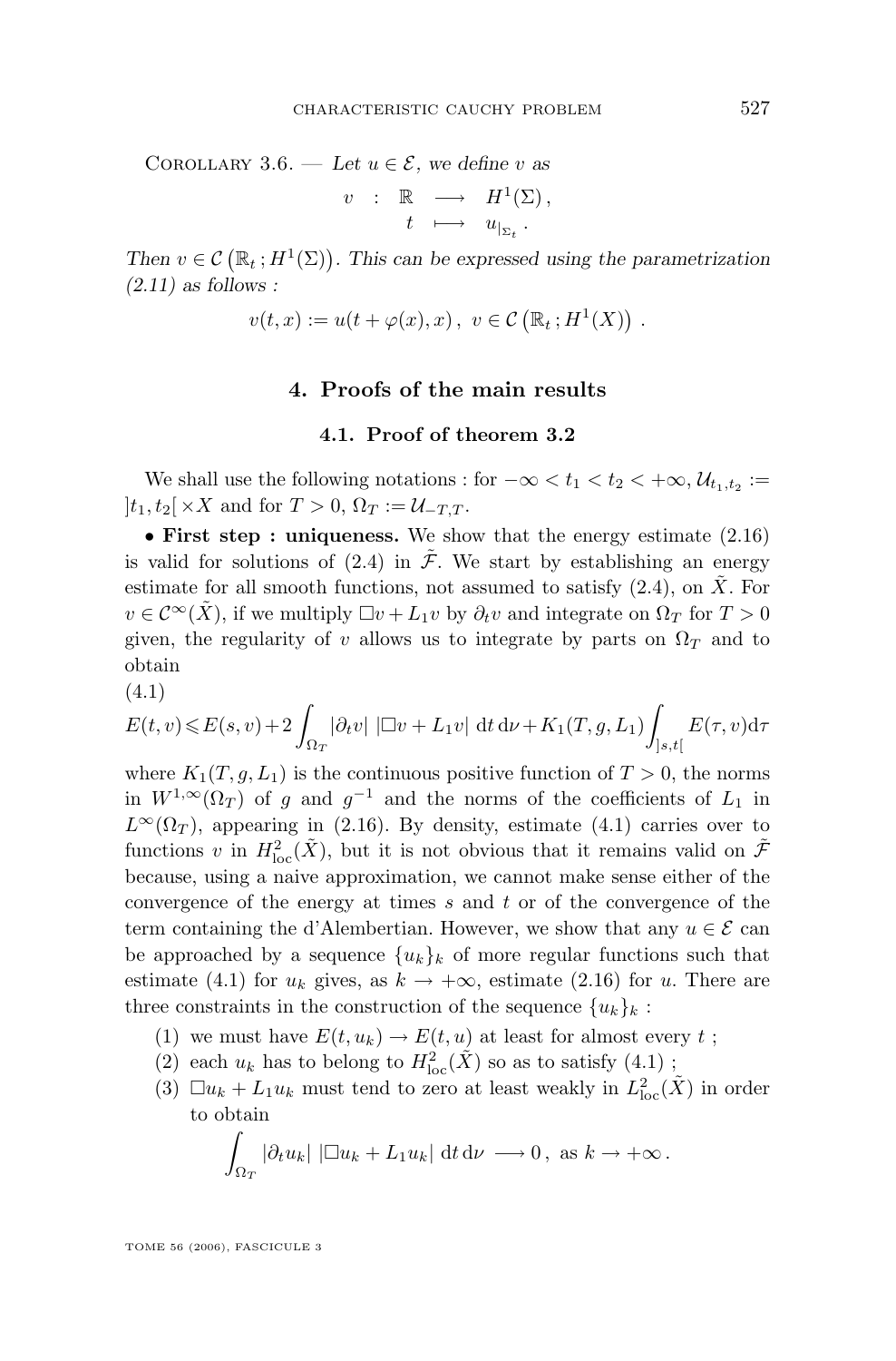<span id="page-11-0"></span>COROLLARY 3.6. — Let  $u \in \mathcal{E}$ , we define v as

$$
v : \mathbb{R} \longrightarrow H^1(\Sigma),
$$
  

$$
t \longmapsto u_{|_{\Sigma_t}}.
$$

Then  $v \in \mathcal{C}(\mathbb{R}_t; H^1(\Sigma))$ . This can be expressed using the parametrization *[\(2.11\)](#page-6-0) as follows :*

$$
v(t,x) := u(t + \varphi(x),x), \ v \in \mathcal{C}(\mathbb{R}_t; H^1(X)).
$$

#### **4. Proofs of the main results**

#### **4.1. Proof of theorem [3.2](#page-9-0)**

We shall use the following notations : for  $-\infty < t_1 < t_2 < +\infty$ ,  $\mathcal{U}_{t_1,t_2} :=$  $|t_1, t_2| \times X$  and for  $T > 0$ ,  $\Omega_T := \mathcal{U}_{-T,T}$ .

• **First step : uniqueness.** We show that the energy estimate [\(2.16\)](#page-7-0) is valid for solutions of [\(2.4\)](#page-5-0) in  $\tilde{\mathcal{F}}$ . We start by establishing an energy estimate for all smooth functions, not assumed to satisfy  $(2.4)$ , on  $\tilde{X}$ . For  $v \in \mathcal{C}^{\infty}(X)$ , if we multiply  $\Box v + L_1v$  by  $\partial_t v$  and integrate on  $\Omega_T$  for  $T > 0$ given, the regularity of v allows us to integrate by parts on  $\Omega_T$  and to obtain

(4.1)

$$
E(t, v) \leq E(s, v) + 2 \int_{\Omega_T} |\partial_t v| |\Box v + L_1 v| dt d\nu + K_1(T, g, L_1) \int_{]s, t[} E(\tau, v) d\tau
$$

where  $K_1(T, g, L_1)$  is the continuous positive function of  $T > 0$ , the norms in  $W^{1,\infty}(\Omega_T)$  of g and  $g^{-1}$  and the norms of the coefficients of  $L_1$  in  $L^{\infty}(\Omega_T)$ , appearing in [\(2.16\)](#page-7-0). By density, estimate (4.1) carries over to functions v in  $H^2_{\text{loc}}(\tilde{X})$ , but it is not obvious that it remains valid on  $\tilde{\mathcal{F}}$ because, using a naive approximation, we cannot make sense either of the convergence of the energy at times  $s$  and  $t$  or of the convergence of the term containing the d'Alembertian. However, we show that any  $u \in \mathcal{E}$  can be approached by a sequence  ${u_k}_k$  of more regular functions such that estimate (4.1) for  $u_k$  gives, as  $k \to +\infty$ , estimate [\(2.16\)](#page-7-0) for u. There are three constraints in the construction of the sequence  ${u_k}_k$ :

- (1) we must have  $E(t, u_k) \to E(t, u)$  at least for almost every t;
- (2) each  $u_k$  has to belong to  $H^2_{\text{loc}}(\tilde{X})$  so as to satisfy  $(4.1)$ ;
- (3)  $\square u_k + L_1 u_k$  must tend to zero at least weakly in  $L^2_{loc}(\tilde{X})$  in order to obtain

$$
\int_{\Omega_T} |\partial_t u_k| |\Box u_k + L_1 u_k| \, \mathrm{d}t \, \mathrm{d}\nu \longrightarrow 0, \text{ as } k \to +\infty.
$$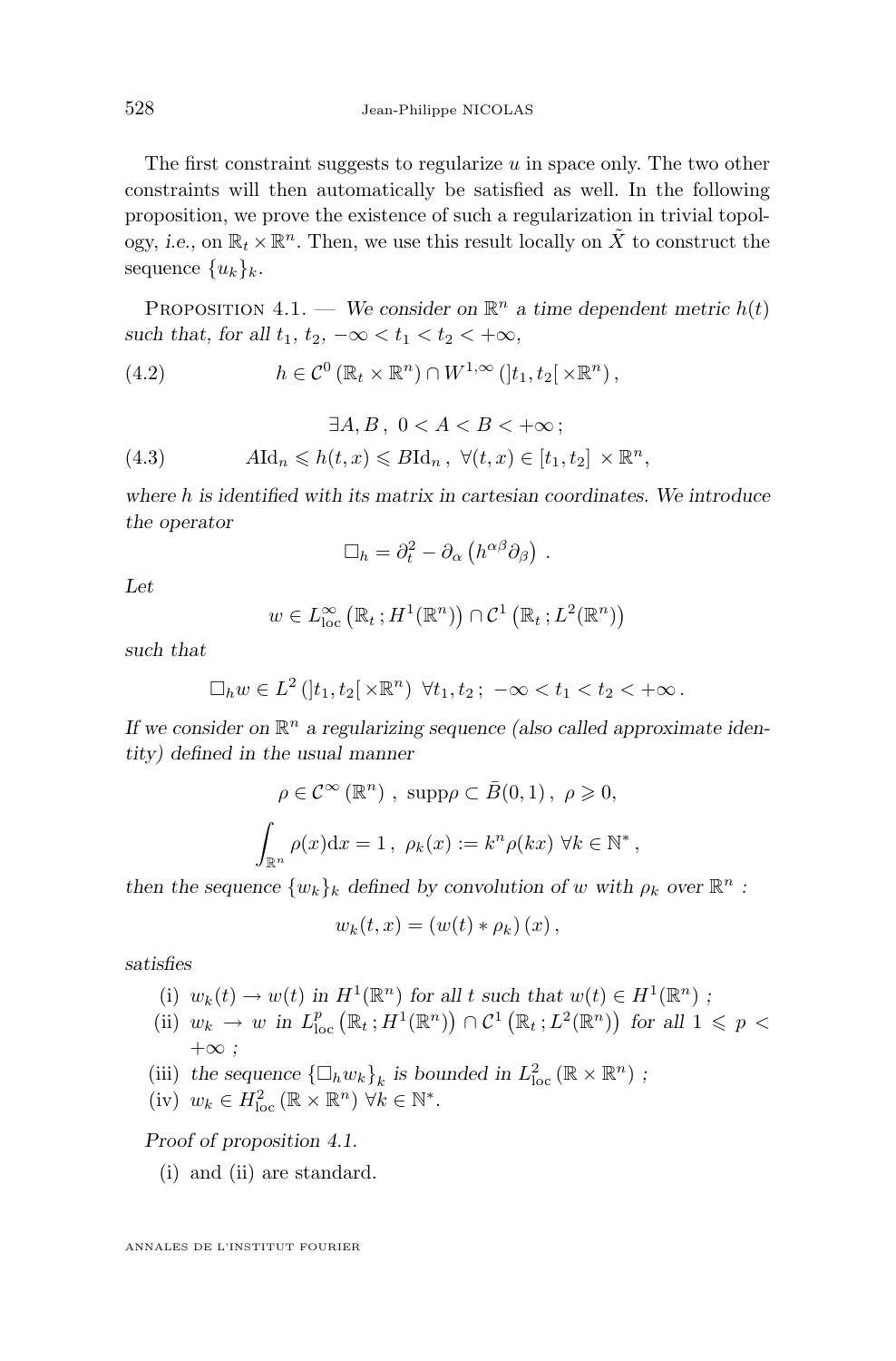The first constraint suggests to regularize  $u$  in space only. The two other constraints will then automatically be satisfied as well. In the following proposition, we prove the existence of such a regularization in trivial topology, *i.e.*, on  $\mathbb{R}_t \times \mathbb{R}^n$ . Then, we use this result locally on  $\tilde{X}$  to construct the sequence  ${u_k}_k$ .

PROPOSITION 4.1. — We consider on  $\mathbb{R}^n$  a time dependent metric  $h(t)$ *such that, for all*  $t_1$ ,  $t_2$ ,  $-\infty < t_1 < t_2 < +\infty$ ,

(4.2) 
$$
h \in \mathcal{C}^0(\mathbb{R}_t \times \mathbb{R}^n) \cap W^{1,\infty}(|t_1, t_2[ \times \mathbb{R}^n),
$$

(4.3) 
$$
\exists A, B, \ 0 < A < B < +\infty;
$$

$$
A \mathrm{Id}_n \leq h(t, x) \leq B \mathrm{Id}_n, \ \forall (t, x) \in [t_1, t_2] \times \mathbb{R}^n,
$$

*where* h *is identified with its matrix in cartesian coordinates. We introduce the operator*

$$
\Box_h = \partial_t^2 - \partial_\alpha \left( h^{\alpha \beta} \partial_\beta \right) .
$$

*Let*

$$
w \in L^{\infty}_{loc} (\mathbb{R}_t; H^1(\mathbb{R}^n)) \cap \mathcal{C}^1 (\mathbb{R}_t; L^2(\mathbb{R}^n))
$$

*such that*

$$
\Box_h w \in L^2([t_1, t_2[ \times \mathbb{R}^n) \ \forall t_1, t_2; \ -\infty < t_1 < t_2 < +\infty.
$$

If we consider on  $\mathbb{R}^n$  a regularizing sequence (also called approximate iden*tity) defined in the usual manner*

$$
\rho \in \mathcal{C}^{\infty}(\mathbb{R}^{n}), \text{ supp }\rho \subset \bar{B}(0,1), \ \rho \geq 0,
$$

$$
\int_{\mathbb{R}^{n}} \rho(x) dx = 1, \ \rho_{k}(x) := k^{n} \rho(kx) \ \forall k \in \mathbb{N}^{*},
$$

*then the sequence*  $\{w_k\}_k$  *defined by convolution of* w with  $\rho_k$  *over*  $\mathbb{R}^n$  *:* 

$$
w_k(t,x) = (w(t) * \rho_k)(x),
$$

*satisfies*

- (i)  $w_k(t) \to w(t)$  in  $H^1(\mathbb{R}^n)$  for all t such that  $w(t) \in H^1(\mathbb{R}^n)$ ;
- (ii)  $w_k \to w$  in  $L^p_{loc}(\mathbb{R}_t; H^1(\mathbb{R}^n)) \cap C^1(\mathbb{R}_t; L^2(\mathbb{R}^n))$  for all  $1 \leq p <$ +∞ *;*
- (iii) the sequence  $\{\Box_h w_k\}_k$  is bounded in  $L^2_{loc}(\mathbb{R} \times \mathbb{R}^n)$ ;
- (iv)  $w_k \in H^2_{\text{loc}}(\mathbb{R} \times \mathbb{R}^n) \,\forall k \in \mathbb{N}^*.$

*Proof of proposition 4.1.*

(i) and (ii) are standard.

<span id="page-12-0"></span>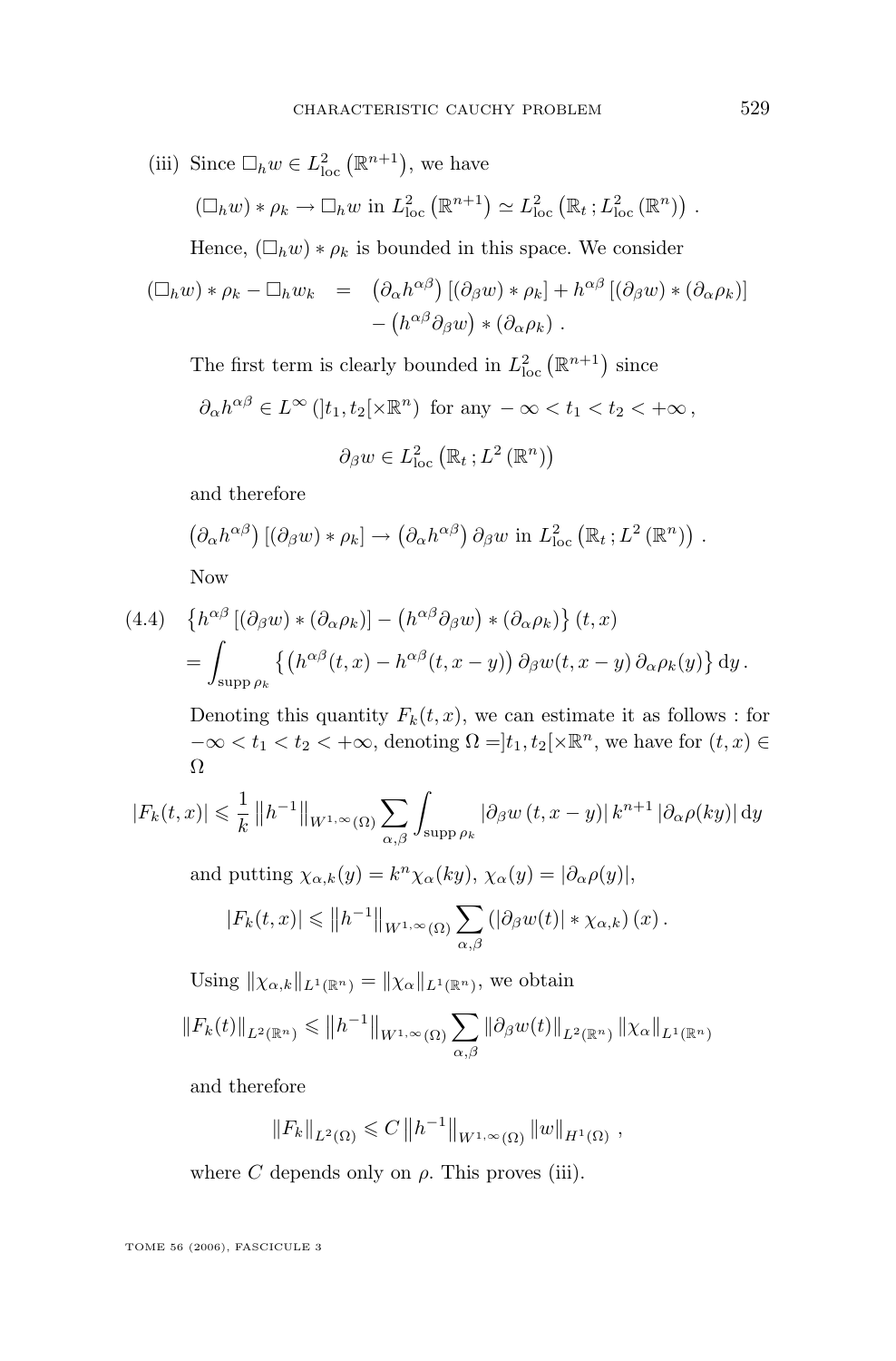(iii) Since 
$$
\Box_h w \in L^2_{loc} (\mathbb{R}^{n+1})
$$
, we have  
\n
$$
(\Box_h w) * \rho_k \to \Box_h w \text{ in } L^2_{loc} (\mathbb{R}^{n+1}) \simeq L^2_{loc} (\mathbb{R}_t; L^2_{loc} (\mathbb{R}^n)) .
$$

Hence,  $(\Box_h w) * \rho_k$  is bounded in this space. We consider

$$
\begin{array}{rcl}\n(\Box_h w) * \rho_k - \Box_h w_k & = & \left(\partial_\alpha h^{\alpha\beta}\right) \left[ \left(\partial_\beta w\right) * \rho_k \right] + h^{\alpha\beta} \left[ \left(\partial_\beta w\right) * \left(\partial_\alpha \rho_k\right) \right] \\
 & & - \left( h^{\alpha\beta} \partial_\beta w \right) * \left(\partial_\alpha \rho_k\right) \,.\n\end{array}
$$

The first term is clearly bounded in  $L^2_{\text{loc}}(\mathbb{R}^{n+1})$  since

$$
\partial_{\alpha}h^{\alpha\beta} \in L^{\infty}\left(\left]t_1, t_2\right[\times \mathbb{R}^n\right) \text{ for any } -\infty < t_1 < t_2 < +\infty,
$$

$$
\partial_{\beta} w \in L_{\text{loc}}^{2}\left(\mathbb{R}_{t} ; L^{2}\left(\mathbb{R}^{n}\right)\right)
$$

and therefore

$$
(\partial_{\alpha}h^{\alpha\beta}) [(\partial_{\beta}w) * \rho_k] \to (\partial_{\alpha}h^{\alpha\beta}) \partial_{\beta}w \text{ in } L^2_{\text{loc}} (\mathbb{R}_t; L^2(\mathbb{R}^n)) .
$$

Now

(4.4) 
$$
\begin{aligned} \left\{ h^{\alpha\beta} \left[ (\partial_{\beta} w) * (\partial_{\alpha} \rho_k) \right] - \left( h^{\alpha\beta} \partial_{\beta} w \right) * (\partial_{\alpha} \rho_k) \right\} (t, x) \\ &= \int_{\text{supp}\,\rho_k} \left\{ \left( h^{\alpha\beta}(t, x) - h^{\alpha\beta}(t, x - y) \right) \partial_{\beta} w(t, x - y) \partial_{\alpha} \rho_k(y) \right\} dy \,. \end{aligned}
$$

Denoting this quantity  $F_k(t, x)$ , we can estimate it as follows : for  $-\infty < t_1 < t_2 < +\infty$ , denoting  $\Omega =] t_1, t_2[ \times \mathbb{R}^n$ , we have for  $(t, x) \in$ Ω

$$
|F_k(t,x)| \leq \frac{1}{k} ||h^{-1}||_{W^{1,\infty}(\Omega)} \sum_{\alpha,\beta} \int_{\text{supp}\,\rho_k} |\partial_\beta w(t,x-y)| k^{n+1} |\partial_\alpha \rho(ky)| \,dy
$$

and putting  $\chi_{\alpha,k}(y) = k^n \chi_{\alpha}(ky), \chi_{\alpha}(y) = |\partial_{\alpha}\rho(y)|$ ,

$$
|F_k(t,x)| \leq ||h^{-1}||_{W^{1,\infty}(\Omega)} \sum_{\alpha,\beta} (|\partial_\beta w(t)| * \chi_{\alpha,k})(x).
$$

Using  $\|\chi_{\alpha,k}\|_{L^1(\mathbb{R}^n)} = \|\chi_{\alpha}\|_{L^1(\mathbb{R}^n)}$ , we obtain

$$
||F_k(t)||_{L^2(\mathbb{R}^n)} \le ||h^{-1}||_{W^{1,\infty}(\Omega)} \sum_{\alpha,\beta} ||\partial_{\beta} w(t)||_{L^2(\mathbb{R}^n)} ||\chi_{\alpha}||_{L^1(\mathbb{R}^n)}
$$

and therefore

$$
||F_k||_{L^2(\Omega)} \leq C ||h^{-1}||_{W^{1,\infty}(\Omega)} ||w||_{H^1(\Omega)},
$$

where  $C$  depends only on  $\rho$ . This proves (iii).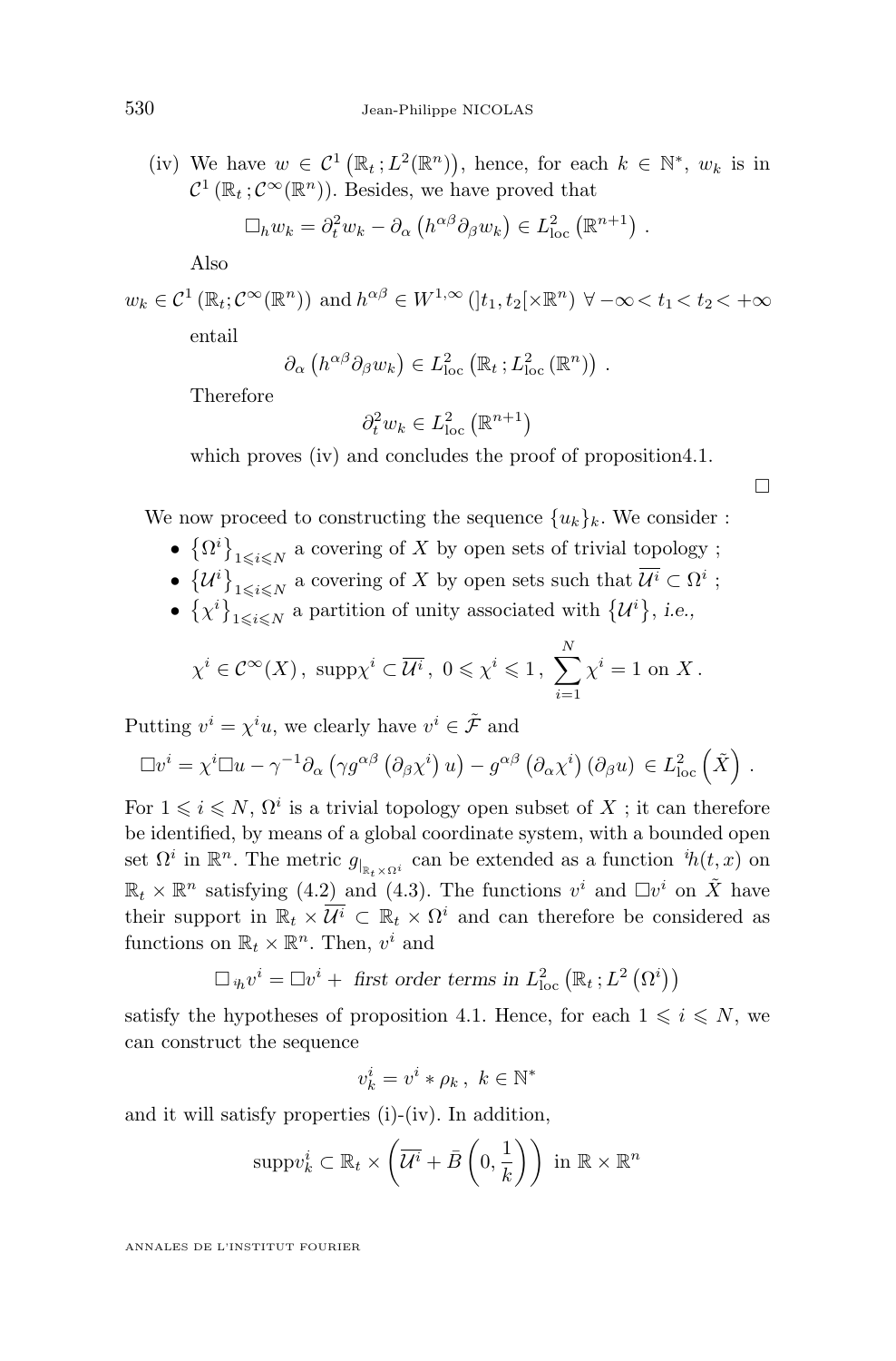(iv) We have  $w \in C^1(\mathbb{R}_t; L^2(\mathbb{R}^n))$ , hence, for each  $k \in \mathbb{N}^*, w_k$  is in  $\mathcal{C}^1(\mathbb{R}_t;\mathcal{C}^\infty(\mathbb{R}^n))$ . Besides, we have proved that

$$
\Box_h w_k = \partial_t^2 w_k - \partial_\alpha \left( h^{\alpha \beta} \partial_\beta w_k \right) \in L^2_{loc} \left( \mathbb{R}^{n+1} \right) .
$$

Also

$$
w_k \in C^1(\mathbb{R}_t; C^{\infty}(\mathbb{R}^n))
$$
 and  $h^{\alpha\beta} \in W^{1,\infty}(]t_1, t_2[\times \mathbb{R}^n) \ \forall -\infty < t_1 < t_2 < +\infty$ 

entail

$$
\partial_{\alpha} \left( h^{\alpha \beta} \partial_{\beta} w_k \right) \in L^2_{\text{loc}} \left( \mathbb{R}_t ; L^2_{\text{loc}} \left( \mathbb{R}^n \right) \right) .
$$

Therefore

$$
\partial_t^2 w_k \in L^2_{\text{loc}}\left(\mathbb{R}^{n+1}\right)
$$

which proves (iv) and concludes the proof of proposition 4.1.

 $\Box$ 

We now proceed to constructing the sequence  $\{u_k\}_k$ . We consider :

- $\bullet$   $\{\Omega^i\}_{1\leqslant i\leqslant N}$  a covering of X by open sets of trivial topology;
- $\{U^i\}_{1 \leqslant i \leqslant N}$  a covering of X by open sets such that  $U^i \subset \Omega^i$ ;
- $\{\chi^i\}_{1 \leqslant i \leqslant N}$  a partition of unity associated with  $\{\mathcal{U}^i\}$ , *i.e.*,

$$
\chi^i \in \mathcal{C}^{\infty}(X)
$$
,  $\text{supp}\chi^i \subset \overline{\mathcal{U}^i}$ ,  $0 \leq \chi^i \leq 1$ ,  $\sum_{i=1}^N \chi^i = 1$  on X.

Putting  $v^i = \chi^i u$ , we clearly have  $v^i \in \tilde{\mathcal{F}}$  and

$$
\Box v^{i} = \chi^{i} \Box u - \gamma^{-1} \partial_{\alpha} \left( \gamma g^{\alpha \beta} \left( \partial_{\beta} \chi^{i} \right) u \right) - g^{\alpha \beta} \left( \partial_{\alpha} \chi^{i} \right) \left( \partial_{\beta} u \right) \in L^{2}_{loc} \left( \tilde{X} \right).
$$

For  $1 \leq i \leq N$ ,  $\Omega^i$  is a trivial topology open subset of X; it can therefore be identified, by means of a global coordinate system, with a bounded open set  $\Omega^i$  in  $\mathbb{R}^n$ . The metric  $g_{|_{\mathbb{R}_t \times \Omega^i}}$  can be extended as a function  ${}^{i}\!h(t,x)$  on  $\mathbb{R}_t \times \mathbb{R}^n$  satisfying [\(4.2\)](#page-12-0) and [\(4.3\)](#page-12-0). The functions  $v^i$  and  $\Box v^i$  on  $\tilde{X}$  have their support in  $\mathbb{R}_t \times \overline{\mathcal{U}^i} \subset \mathbb{R}_t \times \Omega^i$  and can therefore be considered as functions on  $\mathbb{R}_t \times \mathbb{R}^n$ . Then,  $v^i$  and

$$
\Box_{i h} v^{i} = \Box v^{i} + \text{ first order terms in } L^{2}_{\text{loc}} (\mathbb{R}_{t} ; L^{2} (\Omega^{i}))
$$

satisfy the hypotheses of proposition [4.1.](#page-12-0) Hence, for each  $1 \leq i \leq N$ , we can construct the sequence

$$
v_k^i = v^i * \rho_k, \ k \in \mathbb{N}^*
$$

and it will satisfy properties (i)-(iv). In addition,

$$
\text{supp}\,v_k^i \subset \mathbb{R}_t \times \left(\overline{\mathcal{U}^i} + \overline{B}\left(0, \frac{1}{k}\right)\right) \text{ in } \mathbb{R} \times \mathbb{R}^n
$$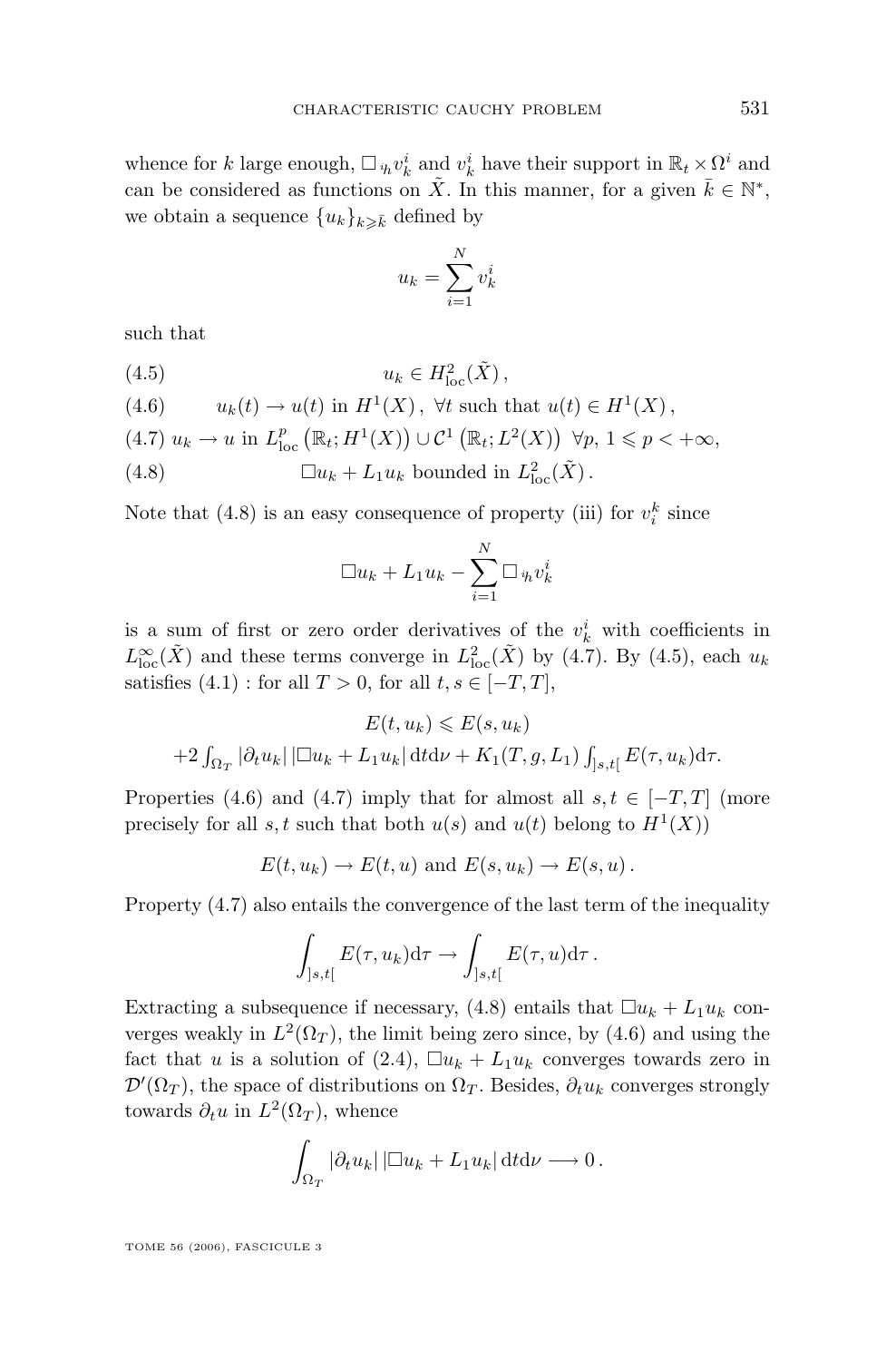whence for k large enough,  $\Box_{h} v_k^i$  and  $v_k^i$  have their support in  $\mathbb{R}_t \times \Omega^i$  and can be considered as functions on  $\tilde{X}$ . In this manner, for a given  $\bar{k} \in \mathbb{N}^*$ , we obtain a sequence  ${u_k}_{k\geqslant \bar{k}}$  defined by

$$
u_k = \sum_{i=1}^{N} v_k^i
$$

such that

(4.5)  $u_k \in H^2_{\text{loc}}(\tilde{X}),$ 

(4.6) 
$$
u_k(t) \to u(t) \text{ in } H^1(X), \ \forall t \text{ such that } u(t) \in H^1(X),
$$

$$
(4.7) u_k \to u \text{ in } L^p_{loc} \left( \mathbb{R}_t; H^1(X) \right) \cup \mathcal{C}^1 \left( \mathbb{R}_t; L^2(X) \right) \ \forall p, \ 1 \leq p < +\infty,
$$

(4.8)  $\Box u_k + L_1 u_k$  bounded in  $L^2_{loc}(\tilde{X})$ .

Note that (4.8) is an easy consequence of property (iii) for  $v_i^k$  since

$$
\Box u_k + L_1 u_k - \sum_{i=1}^N \Box_{i h} v_k^i
$$

is a sum of first or zero order derivatives of the  $v_k^i$  with coefficients in  $L^{\infty}_{\text{loc}}(\tilde{X})$  and these terms converge in  $L^2_{\text{loc}}(\tilde{X})$  by (4.7). By (4.5), each  $u_k$ satisfies  $(4.1)$ : for all  $T > 0$ , for all  $t, s \in [-T, T]$ ,

$$
E(t, u_k) \leqslant E(s, u_k)
$$
  
+2
$$
\int_{\Omega_T} |\partial_t u_k| |\Box u_k + L_1 u_k| \, \mathrm{d} t \mathrm{d} \nu + K_1(T, g, L_1) \int_{]s, t[} E(\tau, u_k) \mathrm{d} \tau.
$$

Properties (4.6) and (4.7) imply that for almost all  $s, t \in [-T, T]$  (more precisely for all s, t such that both  $u(s)$  and  $u(t)$  belong to  $H<sup>1</sup>(X)$ )

$$
E(t, u_k) \to E(t, u)
$$
 and  $E(s, u_k) \to E(s, u)$ .

Property (4.7) also entails the convergence of the last term of the inequality

$$
\int_{]s,t[} E(\tau,u_k) d\tau \to \int_{]s,t[} E(\tau,u) d\tau.
$$

Extracting a subsequence if necessary, (4.8) entails that  $\Box u_k + L_1 u_k$  converges weakly in  $L^2(\Omega_T)$ , the limit being zero since, by (4.6) and using the fact that u is a solution of [\(2.4\)](#page-5-0),  $\Box u_k + L_1 u_k$  converges towards zero in  $\mathcal{D}'(\Omega_T)$ , the space of distributions on  $\Omega_T$ . Besides,  $\partial_t u_k$  converges strongly towards  $\partial_t u$  in  $L^2(\Omega_T)$ , whence

$$
\int_{\Omega_T} |\partial_t u_k| |\Box u_k + L_1 u_k| \, \mathrm{d} t \mathrm{d} \nu \longrightarrow 0 \, .
$$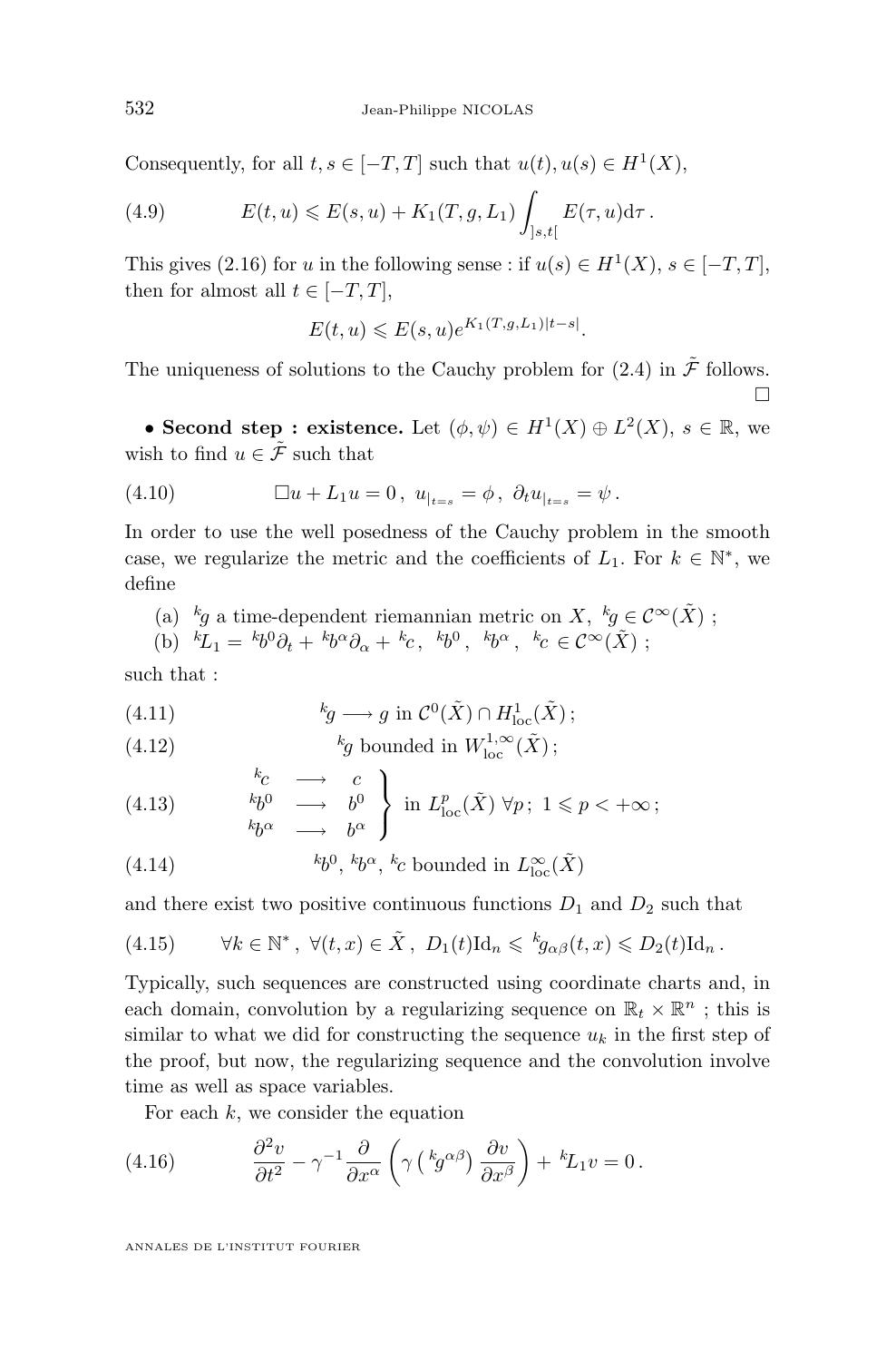<span id="page-16-0"></span>Consequently, for all  $t, s \in [-T, T]$  such that  $u(t), u(s) \in H^1(X)$ ,

(4.9) 
$$
E(t, u) \leqslant E(s, u) + K_1(T, g, L_1) \int_{]s, t[} E(\tau, u) d\tau.
$$

This gives [\(2.16\)](#page-7-0) for u in the following sense : if  $u(s) \in H^1(X)$ ,  $s \in [-T, T]$ , then for almost all  $t \in [-T, T]$ ,

$$
E(t, u) \leqslant E(s, u)e^{K_1(T, g, L_1)|t - s|}.
$$

The uniqueness of solutions to the Cauchy problem for [\(2.4\)](#page-5-0) in  $\tilde{\mathcal{F}}$  follows.  $\Box$ 

• **Second step : existence.** Let  $(\phi, \psi) \in H^1(X) \oplus L^2(X)$ ,  $s \in \mathbb{R}$ , we wish to find  $u \in \tilde{\mathcal{F}}$  such that

(4.10) 
$$
\Box u + L_1 u = 0, \ u_{|_{t=s}} = \phi, \ \partial_t u_{|_{t=s}} = \psi.
$$

In order to use the well posedness of the Cauchy problem in the smooth case, we regularize the metric and the coefficients of  $L_1$ . For  $k \in \mathbb{N}^*$ , we define

(a) 
$$
{}^kg
$$
 a time-dependent riemannian metric on X,  ${}^kg \in C^{\infty}(\tilde{X})$ ;  
(b)  ${}^kL_1 = {}^kb^0\partial_t + {}^kb^{\alpha}\partial_{\alpha} + {}^kc$ ,  ${}^kb^0$ ,  ${}^kb^{\alpha}$ ,  ${}^kc \in C^{\infty}(\tilde{X})$ ;

such that :

(4.11) 
$$
{}^{k}g \longrightarrow g \text{ in } C^{0}(\tilde{X}) \cap H^{1}_{\text{loc}}(\tilde{X});
$$

(4.12) 
$$
k_g \text{ bounded in } W^{1,\infty}_{\text{loc}}(\tilde{X});
$$

(4.13) 
$$
\begin{array}{ccc}\nk_C & \longrightarrow & c \\
& k_D^0 & \longrightarrow & b^0 \\
& k_{\sigma}^{\alpha} & \longrightarrow & b^{\alpha}\n\end{array}\n\right\} \text{ in } L_{\text{loc}}^p(\tilde{X}) \ \forall p; \ 1 \leq p < +\infty;
$$

(4.14) 
$$
{}^{k}b^{0}, {}^{k}b^{\alpha}, {}^{k}c \text{ bounded in } L^{\infty}_{\text{loc}}(\tilde{X})
$$

and there exist two positive continuous functions  $D_1$  and  $D_2$  such that

(4.15) 
$$
\forall k \in \mathbb{N}^*, \ \forall (t, x) \in \tilde{X}, \ D_1(t) \mathrm{Id}_n \leqslant {}^k g_{\alpha\beta}(t, x) \leqslant D_2(t) \mathrm{Id}_n.
$$

Typically, such sequences are constructed using coordinate charts and, in each domain, convolution by a regularizing sequence on  $\mathbb{R}_t \times \mathbb{R}^n$ ; this is similar to what we did for constructing the sequence  $u_k$  in the first step of the proof, but now, the regularizing sequence and the convolution involve time as well as space variables.

For each  $k$ , we consider the equation

(4.16) 
$$
\frac{\partial^2 v}{\partial t^2} - \gamma^{-1} \frac{\partial}{\partial x^{\alpha}} \left( \gamma \left( {}^{k}g^{\alpha\beta} \right) \frac{\partial v}{\partial x^{\beta}} \right) + {}^{k}L_1 v = 0.
$$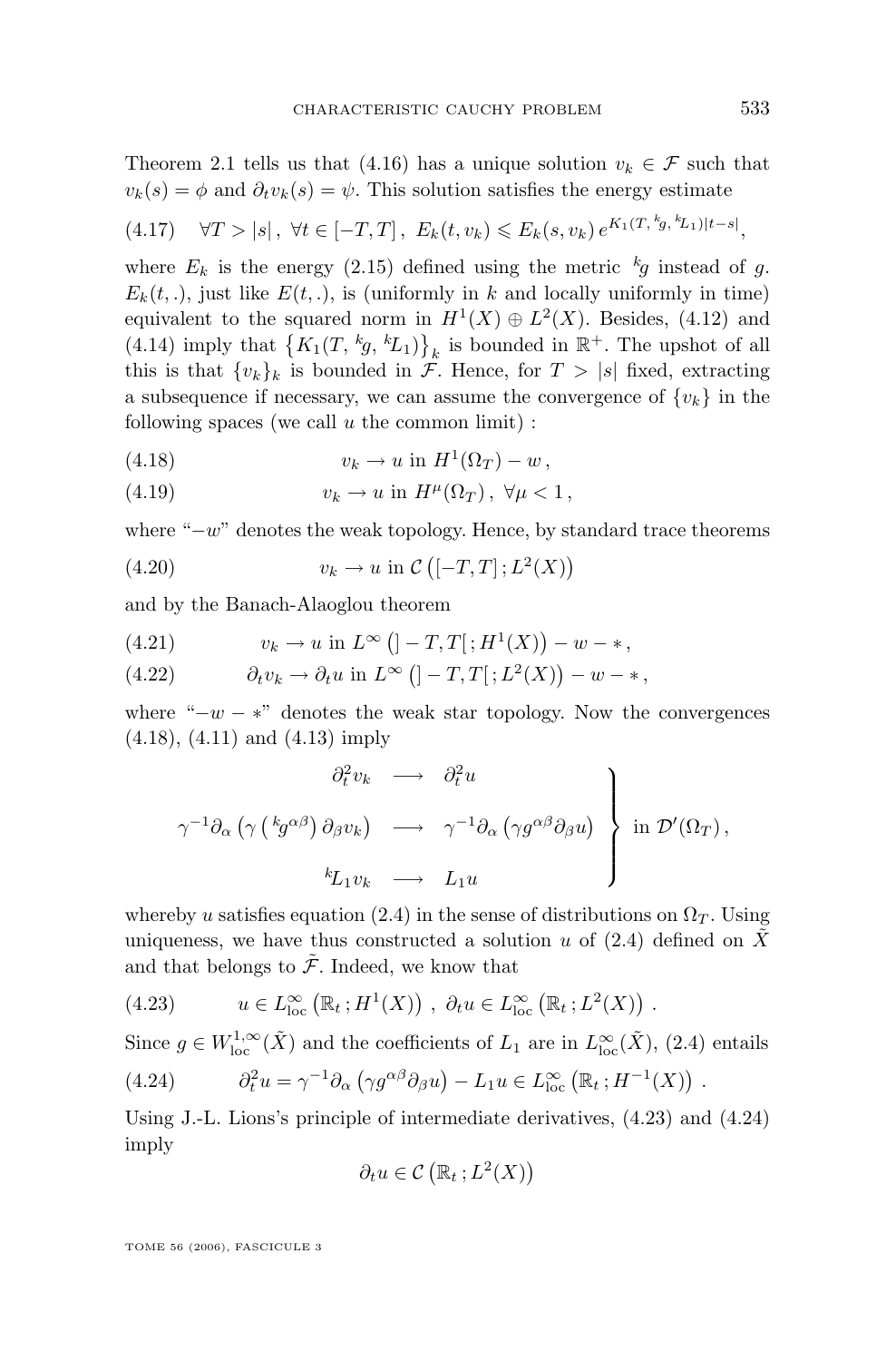<span id="page-17-0"></span>Theorem [2.1](#page-7-0) tells us that [\(4.16\)](#page-16-0) has a unique solution  $v_k \in \mathcal{F}$  such that  $v_k(s) = \phi$  and  $\partial_t v_k(s) = \psi$ . This solution satisfies the energy estimate

$$
(4.17) \quad \forall T > |s|, \ \forall t \in [-T, T], \ E_k(t, v_k) \leqslant E_k(s, v_k) \, e^{K_1(T, \,^k g, \,^k L_1)|t - s|},
$$

where  $E_k$  is the energy [\(2.15\)](#page-7-0) defined using the metric  $k_g$  instead of g.  $E_k(t,.)$ , just like  $E(t,.)$ , is (uniformly in k and locally uniformly in time) equivalent to the squared norm in  $H^1(X) \oplus L^2(X)$ . Besides, [\(4.12\)](#page-16-0) and [\(4.14\)](#page-16-0) imply that  $\{K_1(T, k_0, k_1)\}_k$  is bounded in  $\mathbb{R}^+$ . The upshot of all this is that  $\{v_k\}_k$  is bounded in  $\mathcal{F}$ . Hence, for  $T > |s|$  fixed, extracting a subsequence if necessary, we can assume the convergence of  $\{v_k\}$  in the following spaces (we call  $u$  the common limit) :

$$
(4.18) \t\t v_k \to u \text{ in } H^1(\Omega_T) - w,
$$

(4.19) 
$$
v_k \to u \text{ in } H^{\mu}(\Omega_T), \ \forall \mu < 1,
$$

where " $-w$ " denotes the weak topology. Hence, by standard trace theorems

$$
(4.20) \t\t v_k \to u \text{ in } \mathcal{C}\left([-T,T]; L^2(X)\right)
$$

and by the Banach-Alaoglou theorem

(4.21) 
$$
v_k \to u \text{ in } L^{\infty} (]-T,T[;H^1(X)] - w - *,
$$

(4.22) 
$$
\partial_t v_k \to \partial_t u \text{ in } L^{\infty} (]-T,T[;L^2(X)] - w - *,
$$

where " $-w - *$ " denotes the weak star topology. Now the convergences (4.18), [\(4.11\)](#page-16-0) and [\(4.13\)](#page-16-0) imply

$$
\left.\begin{array}{ccc}\n\partial_t^2 v_k & \longrightarrow & \partial_t^2 u \\
\gamma^{-1} \partial_\alpha \left(\gamma \left(\begin{array}{c} k g^{\alpha \beta}\right) \partial_\beta v_k\right) & \longrightarrow & \gamma^{-1} \partial_\alpha \left(\gamma g^{\alpha \beta} \partial_\beta u\right) \\
k L_1 v_k & \longrightarrow & L_1 u\n\end{array}\right\} & \text{in } \mathcal{D}'(\Omega_T),\n\end{array}\right\}
$$

whereby u satisfies equation [\(2.4\)](#page-5-0) in the sense of distributions on  $\Omega_T$ . Using uniqueness, we have thus constructed a solution u of  $(2.4)$  defined on  $\tilde{X}$ and that belongs to  $\tilde{\mathcal{F}}$ . Indeed, we know that

(4.23) 
$$
u \in L_{\text{loc}}^{\infty} (\mathbb{R}_t; H^1(X)), \ \partial_t u \in L_{\text{loc}}^{\infty} (\mathbb{R}_t; L^2(X)).
$$

Since  $g \in W^{1,\infty}_{loc}(\tilde{X})$  and the coefficients of  $L_1$  are in  $L^{\infty}_{loc}(\tilde{X})$ , [\(2.4\)](#page-5-0) entails

(4.24) 
$$
\partial_t^2 u = \gamma^{-1} \partial_\alpha \left( \gamma g^{\alpha \beta} \partial_\beta u \right) - L_1 u \in L_{\text{loc}}^{\infty} \left( \mathbb{R}_t ; H^{-1}(X) \right) .
$$

Using J.-L. Lions's principle of intermediate derivatives, (4.23) and (4.24) imply

$$
\partial_t u \in \mathcal{C}\left(\mathbb{R}_t; L^2(X)\right)
$$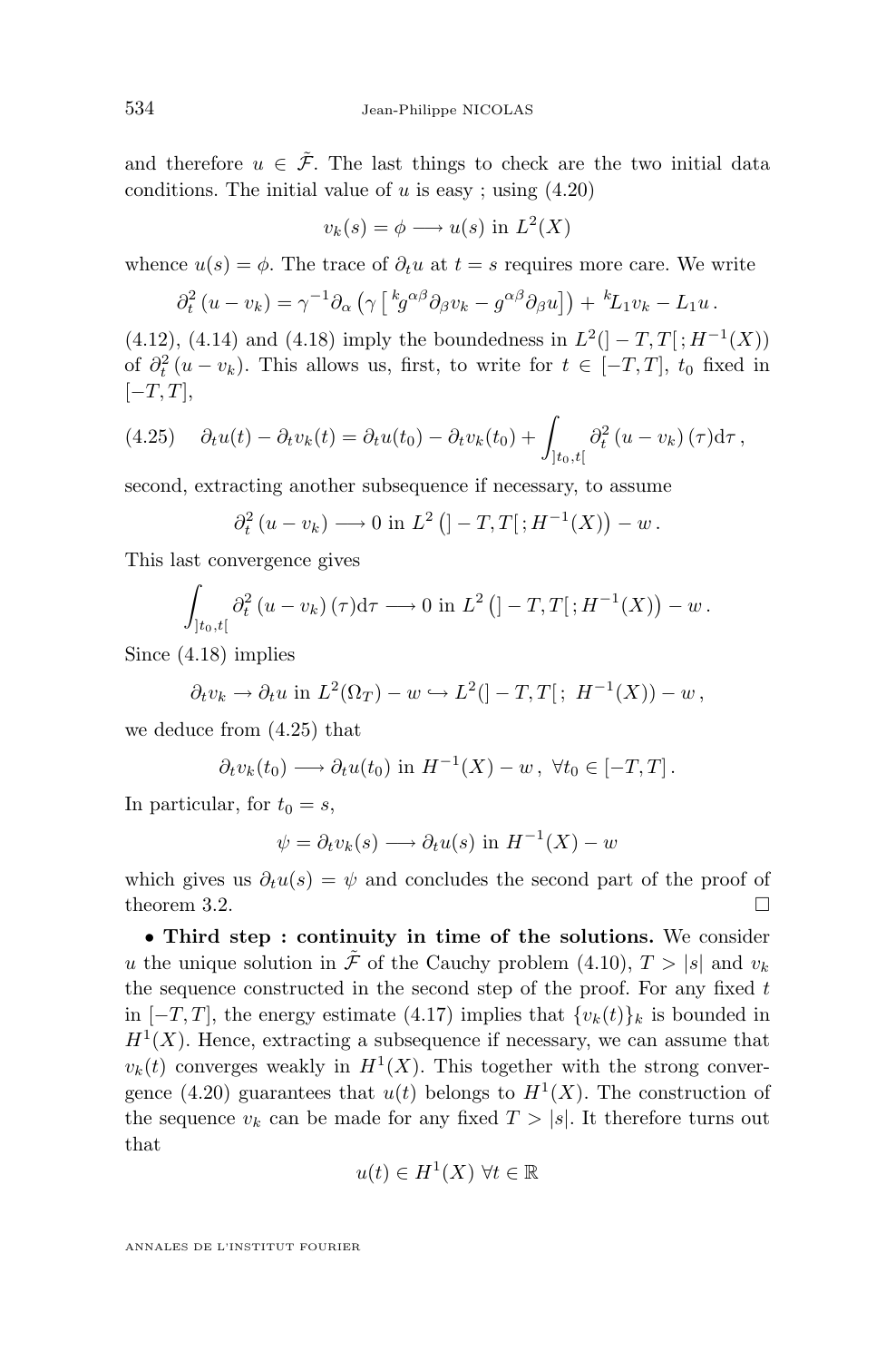and therefore  $u \in \tilde{\mathcal{F}}$ . The last things to check are the two initial data conditions. The initial value of  $u$  is easy; using  $(4.20)$ 

$$
v_k(s) = \phi \longrightarrow u(s) \text{ in } L^2(X)
$$

whence  $u(s) = \phi$ . The trace of  $\partial_t u$  at  $t = s$  requires more care. We write

$$
\partial_t^2 (u - v_k) = \gamma^{-1} \partial_\alpha \left( \gamma \left[ \, {}^k g^{\alpha \beta} \partial_\beta v_k - g^{\alpha \beta} \partial_\beta u \right] \right) + \, {}^k L_1 v_k - L_1 u \, .
$$

 $(4.12), (4.14)$  $(4.12), (4.14)$  $(4.12), (4.14)$  and  $(4.18)$  imply the boundedness in  $L^2([-T, T]; H^{-1}(X))$ of  $\partial_t^2(u - v_k)$ . This allows us, first, to write for  $t \in [-T, T]$ ,  $t_0$  fixed in  $[-T, T]$ ,

(4.25) 
$$
\partial_t u(t) - \partial_t v_k(t) = \partial_t u(t_0) - \partial_t v_k(t_0) + \int_{]t_0, t[} \partial_t^2 (u - v_k) (\tau) d\tau,
$$

second, extracting another subsequence if necessary, to assume

$$
\partial_t^2 (u - v_k) \longrightarrow 0 \text{ in } L^2 (]-T,T[;H^{-1}(X))-w.
$$

This last convergence gives

$$
\int_{]t_0,t[} \partial_t^2 (u-v_k)(\tau) d\tau \longrightarrow 0 \text{ in } L^2([] -T,T[;H^{-1}(X)) - w.
$$

Since [\(4.18\)](#page-17-0) implies

$$
\partial_t v_k \to \partial_t u
$$
 in  $L^2(\Omega_T) - w \hookrightarrow L^2([-T,T[; H^{-1}(X)) - w,$ 

we deduce from (4.25) that

$$
\partial_t v_k(t_0) \longrightarrow \partial_t u(t_0) \text{ in } H^{-1}(X) - w, \ \forall t_0 \in [-T, T].
$$

In particular, for  $t_0 = s$ ,

$$
\psi = \partial_t v_k(s) \longrightarrow \partial_t u(s) \text{ in } H^{-1}(X) - w
$$

which gives us  $\partial_t u(s) = \psi$  and concludes the second part of the proof of theorem [3.2.](#page-9-0)

• **Third step : continuity in time of the solutions.** We consider u the unique solution in  $\tilde{\mathcal{F}}$  of the Cauchy problem [\(4.10\)](#page-16-0),  $T > |s|$  and  $v_k$ the sequence constructed in the second step of the proof. For any fixed  $t$ in  $[-T, T]$ , the energy estimate [\(4.17\)](#page-17-0) implies that  $\{v_k(t)\}_k$  is bounded in  $H<sup>1</sup>(X)$ . Hence, extracting a subsequence if necessary, we can assume that  $v_k(t)$  converges weakly in  $H^1(X)$ . This together with the strong conver-gence [\(4.20\)](#page-17-0) guarantees that  $u(t)$  belongs to  $H<sup>1</sup>(X)$ . The construction of the sequence  $v_k$  can be made for any fixed  $T > |s|$ . It therefore turns out that

$$
u(t) \in H^1(X) \,\,\forall t \in \mathbb{R}
$$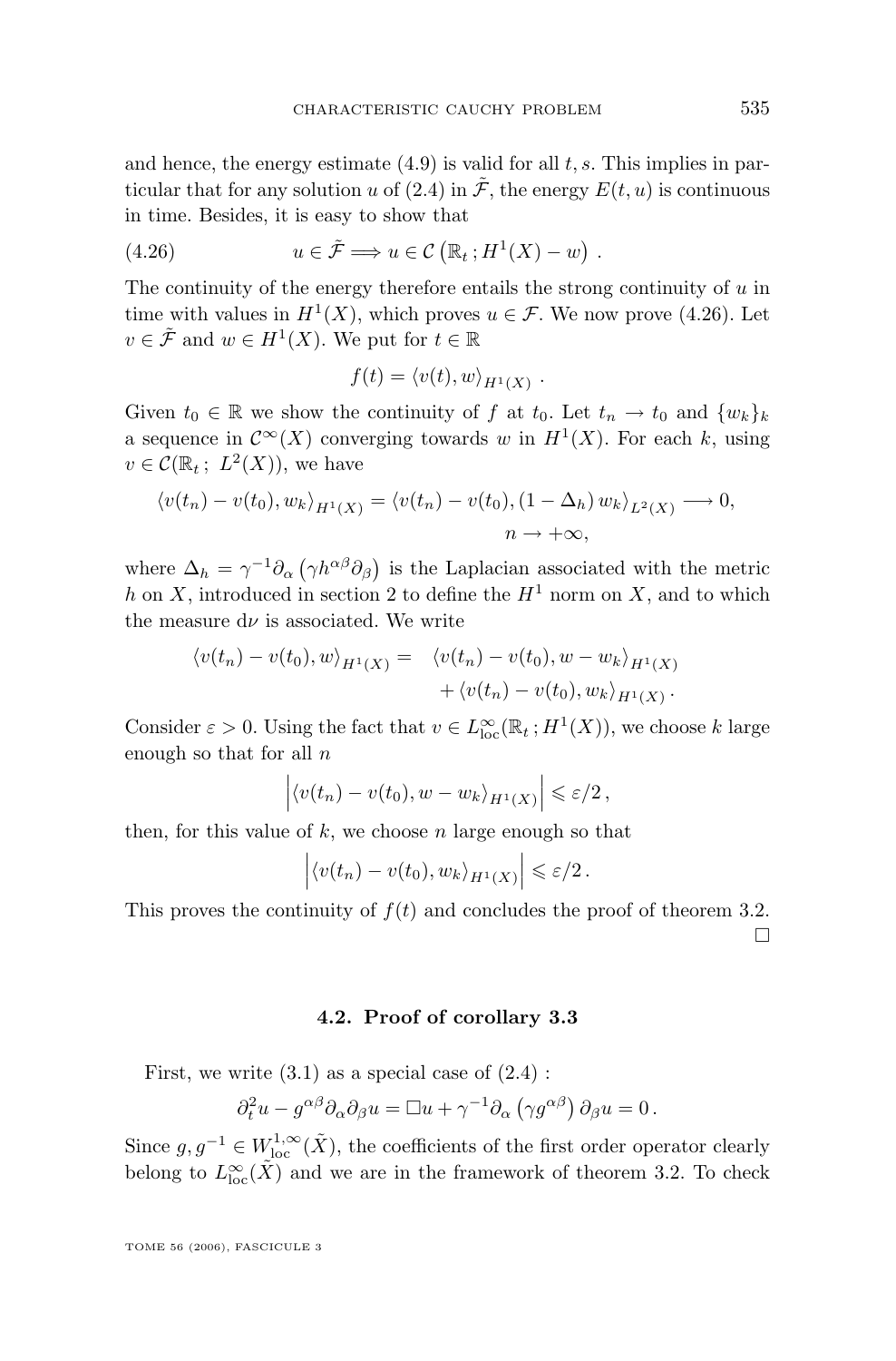and hence, the energy estimate  $(4.9)$  is valid for all t, s. This implies in par-ticular that for any solution u of [\(2.4\)](#page-5-0) in  $\mathcal{F}$ , the energy  $E(t, u)$  is continuous in time. Besides, it is easy to show that

(4.26) 
$$
u \in \tilde{\mathcal{F}} \Longrightarrow u \in \mathcal{C} (\mathbb{R}_t; H^1(X) - w) .
$$

The continuity of the energy therefore entails the strong continuity of  $u$  in time with values in  $H^1(X)$ , which proves  $u \in \mathcal{F}$ . We now prove (4.26). Let  $v \in \tilde{\mathcal{F}}$  and  $w \in H^1(X)$ . We put for  $t \in \mathbb{R}$ 

$$
f(t) = \langle v(t), w \rangle_{H^1(X)}.
$$

Given  $t_0 \in \mathbb{R}$  we show the continuity of f at  $t_0$ . Let  $t_n \to t_0$  and  $\{w_k\}_k$ a sequence in  $\mathcal{C}^{\infty}(X)$  converging towards w in  $H^1(X)$ . For each k, using  $v \in \mathcal{C}(\mathbb{R}_t; L^2(X)),$  we have

$$
\langle v(t_n) - v(t_0), w_k \rangle_{H^1(X)} = \langle v(t_n) - v(t_0), (1 - \Delta_h) w_k \rangle_{L^2(X)} \longrightarrow 0,
$$
  

$$
n \longrightarrow +\infty,
$$

where  $\Delta_h = \gamma^{-1} \partial_\alpha (\gamma h^{\alpha\beta} \partial_\beta)$  is the Laplacian associated with the metric h on X, introduced in section [2](#page-4-0) to define the  $H^1$  norm on X, and to which the measure  $d\nu$  is associated. We write

$$
\langle v(t_n) - v(t_0), w \rangle_{H^1(X)} = \langle v(t_n) - v(t_0), w - w_k \rangle_{H^1(X)} + \langle v(t_n) - v(t_0), w_k \rangle_{H^1(X)}.
$$

Consider  $\varepsilon > 0$ . Using the fact that  $v \in L^{\infty}_{loc}(\mathbb{R}_{t}; H^{1}(X))$ , we choose k large enough so that for all  $n$ 

$$
\left| \langle v(t_n) - v(t_0), w - w_k \rangle_{H^1(X)} \right| \leqslant \varepsilon/2,
$$

then, for this value of  $k$ , we choose n large enough so that

$$
\left| \langle v(t_n) - v(t_0), w_k \rangle_{H^1(X)} \right| \leqslant \varepsilon/2.
$$

This proves the continuity of  $f(t)$  and concludes the proof of theorem [3.2.](#page-9-0)  $\Box$ 

#### **4.2. Proof of corollary [3.3](#page-9-0)**

First, we write  $(3.1)$  as a special case of  $(2.4)$ :

$$
\partial_t^2 u - g^{\alpha\beta} \partial_\alpha \partial_\beta u = \Box u + \gamma^{-1} \partial_\alpha (\gamma g^{\alpha\beta}) \partial_\beta u = 0.
$$

Since  $g, g^{-1} \in W^{1,\infty}_{loc}(\tilde{X})$ , the coefficients of the first order operator clearly belong to  $L^{\infty}_{\text{loc}}(\tilde{X})$  and we are in the framework of theorem [3.2.](#page-9-0) To check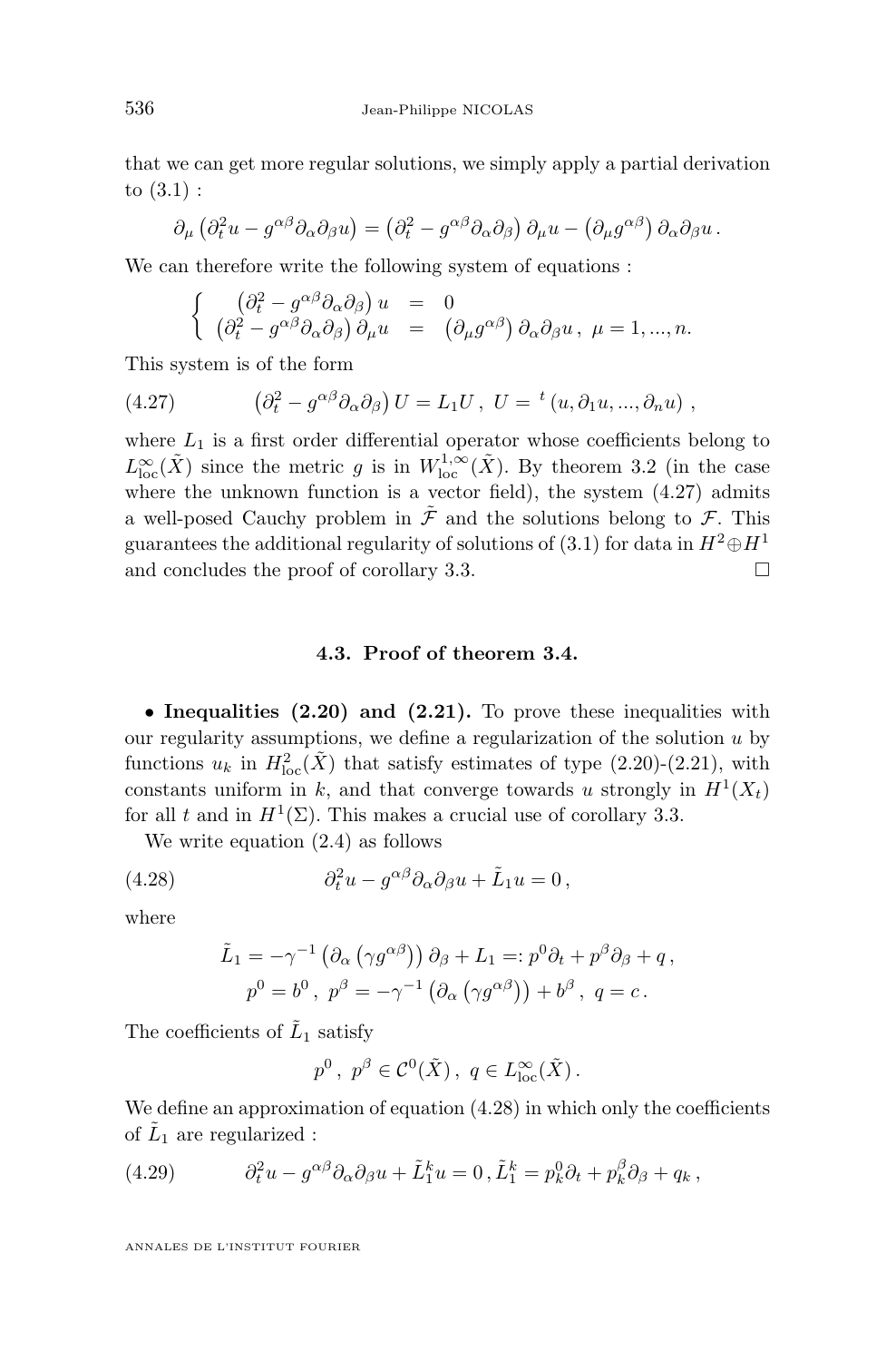<span id="page-20-0"></span>that we can get more regular solutions, we simply apply a partial derivation to [\(3.1\)](#page-9-0) :

$$
\partial_{\mu} (\partial_t^2 u - g^{\alpha \beta} \partial_{\alpha} \partial_{\beta} u) = (\partial_t^2 - g^{\alpha \beta} \partial_{\alpha} \partial_{\beta}) \partial_{\mu} u - (\partial_{\mu} g^{\alpha \beta}) \partial_{\alpha} \partial_{\beta} u.
$$

We can therefore write the following system of equations :

$$
\begin{cases}\n(\partial_t^2 - g^{\alpha\beta}\partial_\alpha\partial_\beta) u = 0 \\
(\partial_t^2 - g^{\alpha\beta}\partial_\alpha\partial_\beta) \partial_\mu u = (\partial_\mu g^{\alpha\beta}) \partial_\alpha\partial_\beta u, \ \mu = 1, ..., n.\n\end{cases}
$$

This system is of the form

(4.27) 
$$
\left(\partial_t^2 - g^{\alpha\beta}\partial_\alpha\partial_\beta\right)U = L_1U, \ U = {}^t(u, \partial_1u, ..., \partial_nu) ,
$$

where  $L_1$  is a first order differential operator whose coefficients belong to  $L^{\infty}_{\text{loc}}(\tilde{X})$  since the metric g is in  $W^{1,\infty}_{\text{loc}}(\tilde{X})$ . By theorem [3.2](#page-9-0) (in the case where the unknown function is a vector field), the system  $(4.27)$  admits a well-posed Cauchy problem in  $\tilde{\mathcal{F}}$  and the solutions belong to  $\mathcal{F}$ . This guarantees the additional regularity of solutions of [\(3.1\)](#page-9-0) for data in  $H^2 \oplus H^1$ and concludes the proof of corollary [3.3.](#page-9-0)  $\Box$ 

#### **4.3. Proof of theorem [3.4.](#page-10-0)**

• **Inequalities [\(2.20\)](#page-8-0) and [\(2.21\)](#page-8-0).** To prove these inequalities with our regularity assumptions, we define a regularization of the solution  $u$  by functions  $u_k$  in  $H^2_{loc}(\tilde{X})$  that satisfy estimates of type [\(2.20\)](#page-8-0)-[\(2.21\)](#page-8-0), with constants uniform in k, and that converge towards u strongly in  $H^1(X_t)$ for all t and in  $H^1(\Sigma)$ . This makes a crucial use of corollary [3.3.](#page-9-0)

We write equation [\(2.4\)](#page-5-0) as follows

(4.28) 
$$
\partial_t^2 u - g^{\alpha\beta} \partial_\alpha \partial_\beta u + \tilde{L}_1 u = 0,
$$

where

$$
\tilde{L}_1 = -\gamma^{-1} (\partial_{\alpha} (\gamma g^{\alpha \beta})) \partial_{\beta} + L_1 =: p^0 \partial_t + p^{\beta} \partial_{\beta} + q,
$$
  

$$
p^0 = b^0, p^{\beta} = -\gamma^{-1} (\partial_{\alpha} (\gamma g^{\alpha \beta})) + b^{\beta}, q = c.
$$

The coefficients of  $\tilde{L}_1$  satisfy

$$
p^0, p^\beta \in \mathcal{C}^0(\tilde{X}), q \in L^\infty_{\text{loc}}(\tilde{X}).
$$

We define an approximation of equation  $(4.28)$  in which only the coefficients of  $\tilde{L}_1$  are regularized :

(4.29) 
$$
\partial_t^2 u - g^{\alpha\beta} \partial_\alpha \partial_\beta u + \tilde{L}_1^k u = 0, \tilde{L}_1^k = p_k^0 \partial_t + p_k^\beta \partial_\beta + q_k,
$$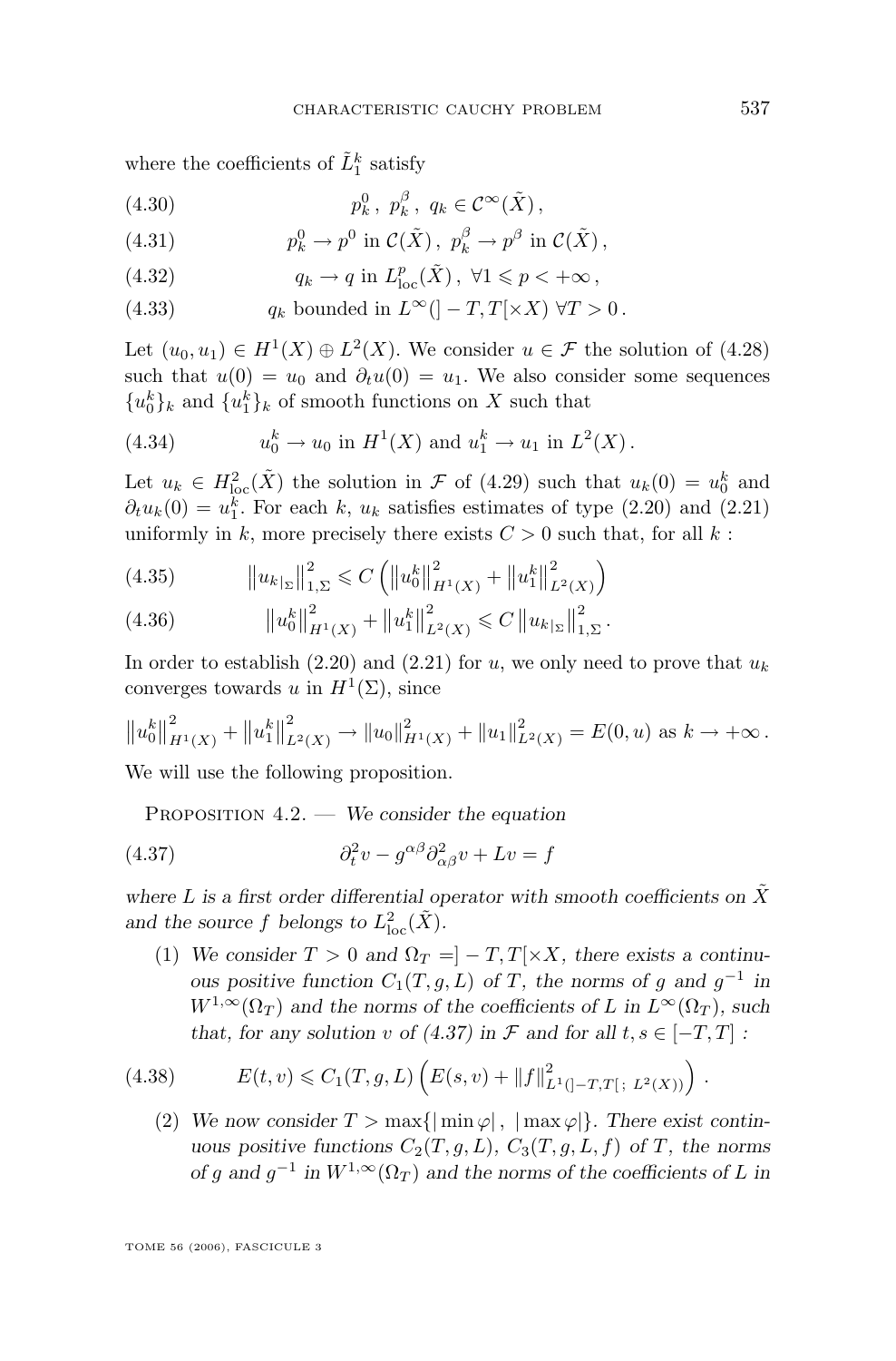<span id="page-21-0"></span>where the coefficients of  $\tilde{L}_1^k$  satisfy

$$
(4.30) \t\t\t p_k^0, \ p_k^\beta, \ q_k \in \mathcal{C}^\infty(\tilde{X}),
$$

(4.31) 
$$
p_k^0 \to p^0 \text{ in } C(\tilde{X}), \ p_k^{\beta} \to p^{\beta} \text{ in } C(\tilde{X}),
$$

(4.32) 
$$
q_k \to q \text{ in } L^p_{\text{loc}}(\tilde{X}), \ \forall 1 \leq p < +\infty,
$$

(4.33)  $q_k$  bounded in  $L^{\infty}([-T, T[ \times X) \ \forall T > 0$ .

Let  $(u_0, u_1) \in H^1(X) \oplus L^2(X)$ . We consider  $u \in \mathcal{F}$  the solution of  $(4.28)$ such that  $u(0) = u_0$  and  $\partial_t u(0) = u_1$ . We also consider some sequences  ${u_0^k}_{k}$  and  ${u_1^k}_{k}$  of smooth functions on X such that

(4.34) 
$$
u_0^k \to u_0
$$
 in  $H^1(X)$  and  $u_1^k \to u_1$  in  $L^2(X)$ .

Let  $u_k \in H^2_{loc}(\tilde{X})$  the solution in  $\mathcal F$  of [\(4.29\)](#page-20-0) such that  $u_k(0) = u_0^k$  and  $\partial_t u_k(0) = u_1^k$ . For each k,  $u_k$  satisfies estimates of type [\(2.20\)](#page-8-0) and [\(2.21\)](#page-8-0) uniformly in k, more precisely there exists  $C > 0$  such that, for all k:

(4.35) 
$$
\|u_{k_{\lvert \Sigma}}\|_{1,\Sigma}^{2} \leq C \left( \|u_{0}^{k}\|_{H^{1}(X)}^{2} + \|u_{1}^{k}\|_{L^{2}(X)}^{2} \right)
$$

(4.36) 
$$
\|u_0^k\|_{H^1(X)}^2 + \|u_1^k\|_{L^2(X)}^2 \leq C \|u_k|_{\Sigma}\|_{1,\Sigma}^2.
$$

In order to establish [\(2.20\)](#page-8-0) and [\(2.21\)](#page-8-0) for u, we only need to prove that  $u_k$ converges towards u in  $H^1(\Sigma)$ , since

$$
\|u_0^k\|_{H^1(X)}^2 + \|u_1^k\|_{L^2(X)}^2 \to \|u_0\|_{H^1(X)}^2 + \|u_1\|_{L^2(X)}^2 = E(0, u) \text{ as } k \to +\infty.
$$

We will use the following proposition.

Proposition 4.2. — *We consider the equation*

(4.37) 
$$
\partial_t^2 v - g^{\alpha \beta} \partial_{\alpha \beta}^2 v + Lv = f
$$

where L is a first order differential operator with smooth coefficients on  $\tilde{X}$ and the source f belongs to  $L^2_{\text{loc}}(\tilde{X})$ .

(1) We consider  $T > 0$  and  $\Omega_T = ]-T, T[ \times X,$  there exists a continu*ous positive function*  $C_1(T, g, L)$  *of*  $T$ *, the norms of*  $g$  *and*  $g^{-1}$  *in*  $W^{1,\infty}(\Omega_T)$  and the norms of the coefficients of L in  $L^{\infty}(\Omega_T)$ , such *that, for any solution* v *of*  $(4.37)$  in  $\mathcal F$  *and for all*  $t, s \in [-T, T]$  *:* 

(4.38) 
$$
E(t, v) \leq C_1(T, g, L) \left( E(s, v) + ||f||^2_{L^1(]-T, T[ \, ; \, L^2(X))} \right).
$$

(2) We now consider  $T > \max\{|\min \varphi|, |\max \varphi|\}.$  There exist contin*uous positive functions*  $C_2(T, g, L)$ *,*  $C_3(T, g, L, f)$  *of* T*, the norms of* g and  $g^{-1}$  in  $W^{1,\infty}(\Omega_T)$  and the norms of the coefficients of L in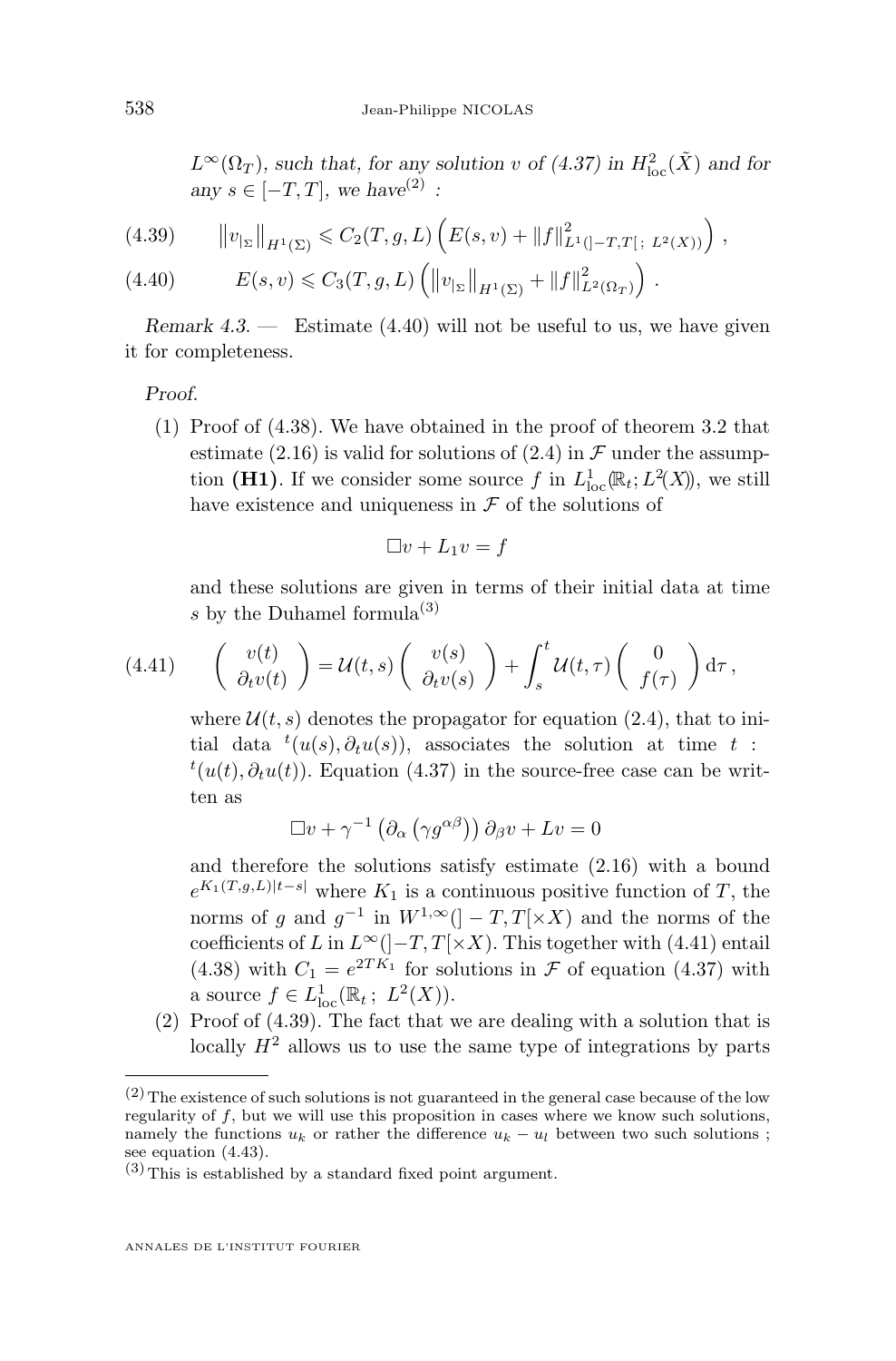<span id="page-22-0"></span> $L^{\infty}(\Omega_T)$ , such that, for any solution v of [\(4.37\)](#page-21-0) in  $H^2_{\text{loc}}(\tilde{X})$  and for *any*  $s \in [-T, T]$ *, we have*<sup>(2)</sup> :

$$
(4.39) \qquad ||v_{|_{\Sigma}}||_{H^1(\Sigma)} \leqslant C_2(T, g, L) \left( E(s, v) + ||f||^2_{L^1(]-T, T[ \, ; \, L^2(X))} \right),
$$

(4.40) 
$$
E(s,v) \leq C_3(T,g,L) \left( \|v_{|_{\Sigma}}\|_{H^1(\Sigma)} + \|f\|_{L^2(\Omega_T)}^2 \right).
$$

*Remark 4.3. —* Estimate (4.40) will not be useful to us, we have given it for completeness.

*Proof.*

(1) Proof of [\(4.38\)](#page-21-0). We have obtained in the proof of theorem [3.2](#page-9-0) that estimate [\(2.16\)](#page-7-0) is valid for solutions of [\(2.4\)](#page-5-0) in  $\mathcal F$  under the assumption (H1). If we consider some source f in  $L^1_{loc}(\mathbb{R}_t; L^2(X))$ , we still have existence and uniqueness in  $\mathcal F$  of the solutions of

$$
\Box v + L_1 v = f
$$

and these solutions are given in terms of their initial data at time s by the Duhamel formula<sup>(3)</sup>

$$
(4.41) \qquad \left(\begin{array}{c}v(t)\\ \partial_tv(t)\end{array}\right) = \mathcal{U}(t,s)\left(\begin{array}{c}v(s)\\ \partial_tv(s)\end{array}\right) + \int_s^t \mathcal{U}(t,\tau)\left(\begin{array}{c}0\\ f(\tau)\end{array}\right)\mathrm{d}\tau\,,
$$

where  $\mathcal{U}(t, s)$  denotes the propagator for equation [\(2.4\)](#page-5-0), that to initial data  $t(u(s), \partial_t u(s))$ , associates the solution at time t:  $t(u(t), \partial_t u(t))$ . Equation [\(4.37\)](#page-21-0) in the source-free case can be written as

$$
\Box v + \gamma^{-1} \left( \partial_{\alpha} \left( \gamma g^{\alpha \beta} \right) \right) \partial_{\beta} v + Lv = 0
$$

and therefore the solutions satisfy estimate [\(2.16\)](#page-7-0) with a bound  $e^{K_1(T,g,L)|t-s|}$  where  $K_1$  is a continuous positive function of T, the norms of g and  $g^{-1}$  in  $W^{1,\infty}$  ( $]-T,T[ \times X)$  and the norms of the coefficients of L in  $L^{\infty}$ ( $]-T, T[ \times X)$ . This together with (4.41) entail [\(4.38\)](#page-21-0) with  $C_1 = e^{2TK_1}$  for solutions in  $\mathcal F$  of equation [\(4.37\)](#page-21-0) with a source  $f \in L^1_{loc}(\mathbb{R}_t; L^2(X)).$ 

(2) Proof of (4.39). The fact that we are dealing with a solution that is locally  $H^2$  allows us to use the same type of integrations by parts

 $(2)$  The existence of such solutions is not guaranteed in the general case because of the low regularity of  $f$ , but we will use this proposition in cases where we know such solutions, namely the functions  $u_k$  or rather the difference  $u_k - u_l$  between two such solutions; see equation [\(4.43\)](#page-24-0).

 $(3)$  This is established by a standard fixed point argument.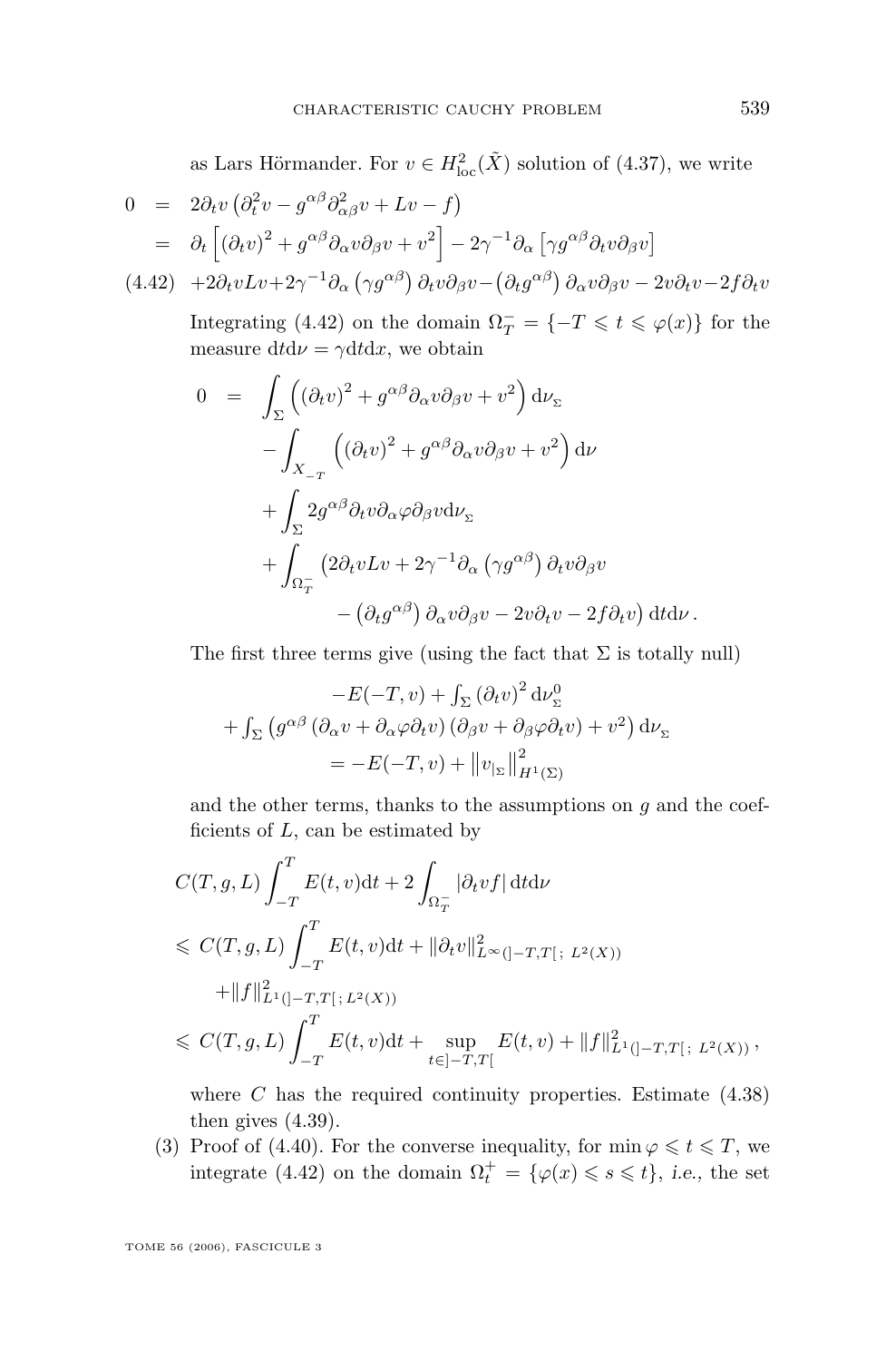as Lars Hörmander. For  $v \in H^2_{loc}(\tilde{X})$  solution of [\(4.37\)](#page-21-0), we write

$$
0 = 2\partial_t v \left( \partial_t^2 v - g^{\alpha \beta} \partial_{\alpha \beta}^2 v + Lv - f \right)
$$
  
\n
$$
= \partial_t \left[ \left( \partial_t v \right)^2 + g^{\alpha \beta} \partial_\alpha v \partial_\beta v + v^2 \right] - 2\gamma^{-1} \partial_\alpha \left[ \gamma g^{\alpha \beta} \partial_t v \partial_\beta v \right]
$$
  
\n(4.42) 
$$
+ 2\partial_t vLv + 2\gamma^{-1} \partial_\alpha \left( \gamma g^{\alpha \beta} \right) \partial_t v \partial_\beta v - \left( \partial_t g^{\alpha \beta} \right) \partial_\alpha v \partial_\beta v - 2v \partial_t v - 2f \partial_t v
$$

Integrating (4.42) on the domain  $\Omega_T^- = \{-T \leq t \leq \varphi(x)\}\)$  for the measure dtd $\nu = \gamma dt dx$ , we obtain

$$
0 = \int_{\Sigma} \left( (\partial_t v)^2 + g^{\alpha \beta} \partial_{\alpha} v \partial_{\beta} v + v^2 \right) d\nu_{\Sigma}
$$
  

$$
- \int_{X_{-\tau}} \left( (\partial_t v)^2 + g^{\alpha \beta} \partial_{\alpha} v \partial_{\beta} v + v^2 \right) d\nu
$$
  

$$
+ \int_{\Sigma} 2g^{\alpha \beta} \partial_t v \partial_{\alpha} \varphi \partial_{\beta} v d\nu_{\Sigma}
$$
  

$$
+ \int_{\Omega_{\tau}^-} \left( 2\partial_t v L v + 2\gamma^{-1} \partial_{\alpha} \left( \gamma g^{\alpha \beta} \right) \partial_t v \partial_{\beta} v \right.
$$
  

$$
- \left( \partial_t g^{\alpha \beta} \right) \partial_{\alpha} v \partial_{\beta} v - 2v \partial_t v - 2f \partial_t v \right) dt d\nu.
$$

The first three terms give (using the fact that  $\Sigma$  is totally null)

$$
-E(-T, v) + \int_{\Sigma} (\partial_t v)^2 dv_{\Sigma}^0
$$
  
+ 
$$
\int_{\Sigma} (g^{\alpha\beta} (\partial_{\alpha} v + \partial_{\alpha} \varphi \partial_t v) (\partial_{\beta} v + \partial_{\beta} \varphi \partial_t v) + v^2) dv_{\Sigma}
$$
  
= 
$$
-E(-T, v) + ||v_{|\Sigma}||_{H^1(\Sigma)}^2
$$

and the other terms, thanks to the assumptions on  $q$  and the coefficients of  $L$ , can be estimated by

$$
\begin{aligned} &C(T,g,L)\int_{-T}^{T}E(t,v)\mathrm{d}t+2\int_{\Omega_{T}^{-}}|\partial_{t}vf|\,\mathrm{d}t\mathrm{d}\nu\\ &\leqslant\ &C(T,g,L)\int_{-T}^{T}E(t,v)\mathrm{d}t+\|\partial_{t}v\|_{L^{\infty}(]-T,T[ \,; \, L^{2}(X))}^{2}\\ &+\|f\|_{L^{1}(]-T,T[ \,; \, L^{2}(X))}^{2}\\ &\leqslant\ &C(T,g,L)\int_{-T}^{T}E(t,v)\mathrm{d}t+\sup_{t\in ]-T,T[}E(t,v)+\|f\|_{L^{1}(]-T,T[ \,; \, L^{2}(X))}^{2}\,, \end{aligned}
$$

where  $C$  has the required continuity properties. Estimate  $(4.38)$ then gives [\(4.39\)](#page-22-0).

(3) Proof of [\(4.40\)](#page-22-0). For the converse inequality, for  $\min \varphi \leq t \leq T$ , we integrate (4.42) on the domain  $\Omega_t^+ = {\varphi(x) \leqslant s \leqslant t}$ , *i.e.*, the set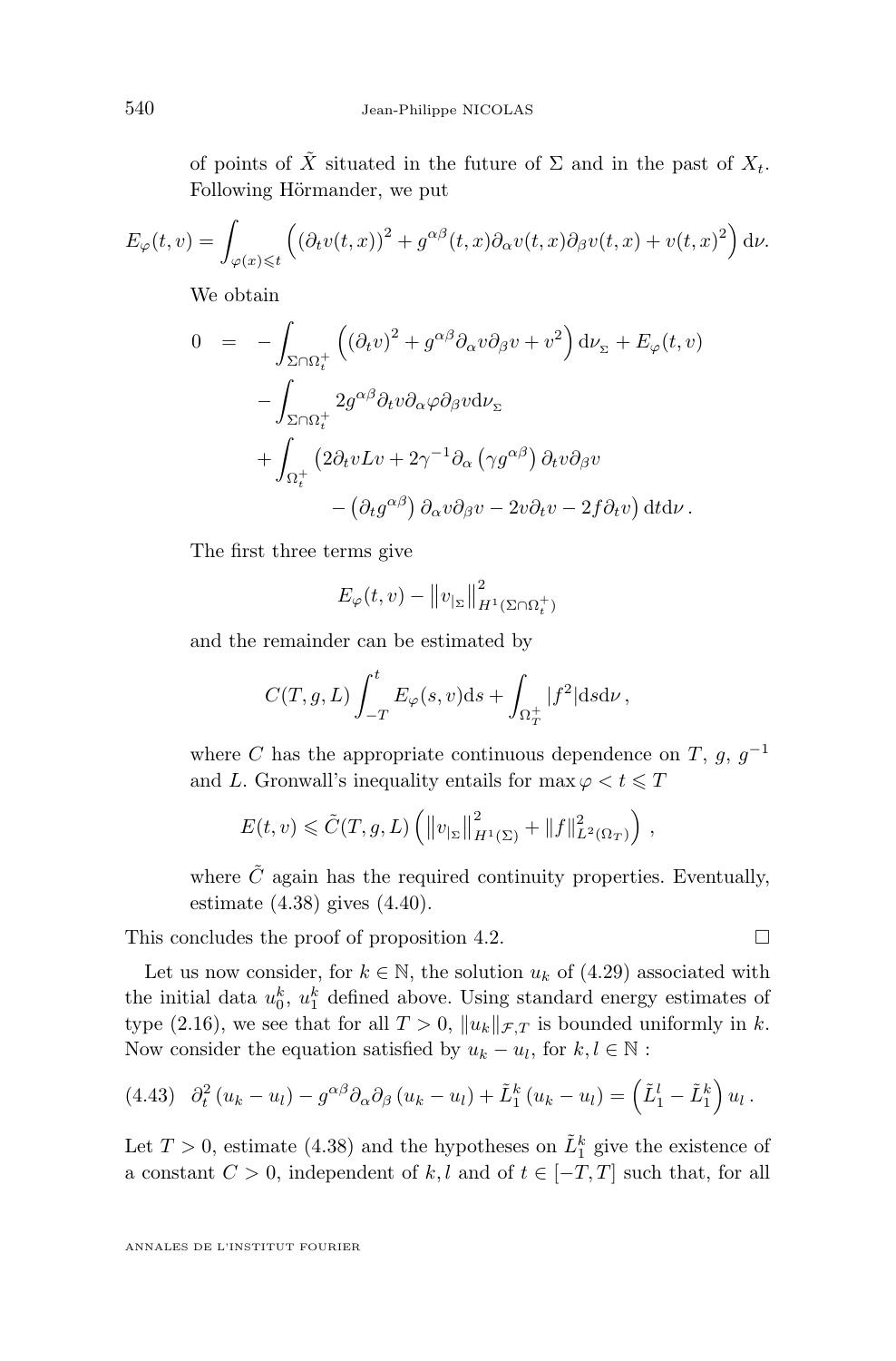<span id="page-24-0"></span>of points of  $\tilde{X}$  situated in the future of  $\Sigma$  and in the past of  $X_t$ . Following Hörmander, we put

$$
E_{\varphi}(t,v) = \int_{\varphi(x)\leq t} \left( (\partial_t v(t,x))^2 + g^{\alpha\beta}(t,x)\partial_\alpha v(t,x)\partial_\beta v(t,x) + v(t,x)^2 \right) d\nu.
$$

We obtain

$$
0 = -\int_{\Sigma \cap \Omega_t^+} \left( (\partial_t v)^2 + g^{\alpha \beta} \partial_\alpha v \partial_\beta v + v^2 \right) d\nu_{\Sigma} + E_{\varphi}(t, v)
$$

$$
- \int_{\Sigma \cap \Omega_t^+} 2g^{\alpha \beta} \partial_t v \partial_\alpha \varphi \partial_\beta v d\nu_{\Sigma}
$$

$$
+ \int_{\Omega_t^+} \left( 2\partial_t v L v + 2\gamma^{-1} \partial_\alpha \left( \gamma g^{\alpha \beta} \right) \partial_t v \partial_\beta v \right. \left. - \left( \partial_t g^{\alpha \beta} \right) \partial_\alpha v \partial_\beta v - 2v \partial_t v - 2f \partial_t v \right) dt d\nu.
$$

The first three terms give

$$
E_{\varphi}(t,v) - ||v_{|\Sigma}||_{H^1(\Sigma \cap \Omega_t^+)}^2
$$

and the remainder can be estimated by

$$
C(T, g, L) \int_{-T}^{t} E_{\varphi}(s, v) \mathrm{d}s + \int_{\Omega_{T}^{+}} |f^{2}| \mathrm{d}s \mathrm{d}\nu,
$$

where C has the appropriate continuous dependence on T, g,  $g^{-1}$ and L. Gronwall's inequality entails for  $\max \varphi < t \leq T$ 

$$
E(t, v) \leqslant \tilde{C}(T, g, L) \left( \left\| v_{|\Sigma} \right\|_{H^1(\Sigma)}^2 + \left\| f \right\|_{L^2(\Omega_T)}^2 \right),
$$

where  $\tilde{C}$  again has the required continuity properties. Eventually, estimate [\(4.38\)](#page-21-0) gives [\(4.40\)](#page-22-0).

This concludes the proof of proposition [4.2.](#page-21-0)  $\Box$ 

Let us now consider, for  $k \in \mathbb{N}$ , the solution  $u_k$  of [\(4.29\)](#page-20-0) associated with the initial data  $u_0^k$ ,  $u_1^k$  defined above. Using standard energy estimates of type [\(2.16\)](#page-7-0), we see that for all  $T > 0$ ,  $||u_k||_{\mathcal{F},T}$  is bounded uniformly in k. Now consider the equation satisfied by  $u_k - u_l$ , for  $k, l \in \mathbb{N}$ :

(4.43) 
$$
\partial_t^2 (u_k - u_l) - g^{\alpha \beta} \partial_\alpha \partial_\beta (u_k - u_l) + \tilde{L}_1^k (u_k - u_l) = \left(\tilde{L}_1^l - \tilde{L}_1^k\right) u_l.
$$

Let  $T > 0$ , estimate [\(4.38\)](#page-21-0) and the hypotheses on  $\tilde{L}_1^k$  give the existence of a constant  $C > 0$ , independent of k, l and of  $t \in [-T, T]$  such that, for all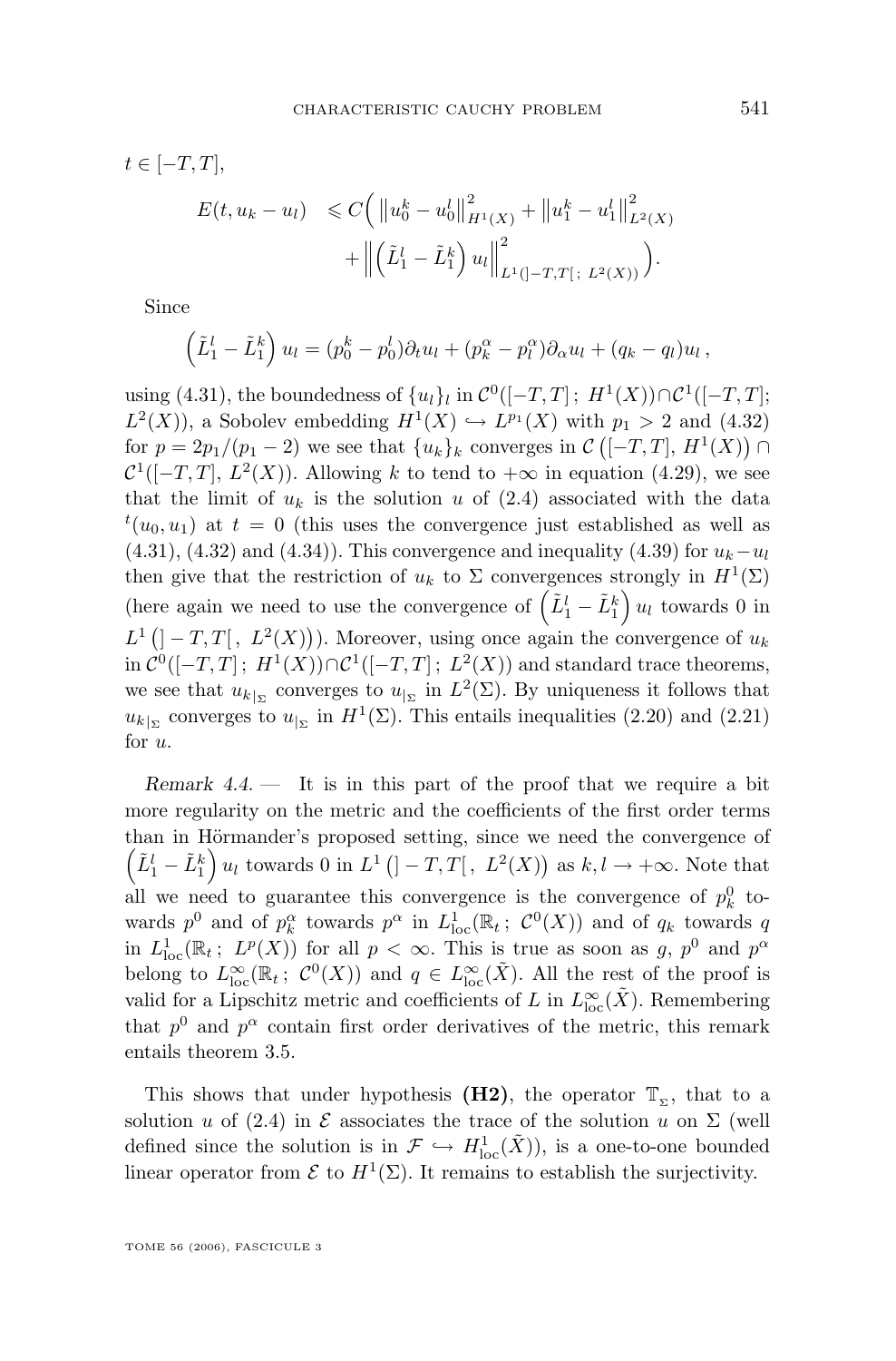<span id="page-25-0"></span>
$$
t \in [-T, T],
$$
  
\n
$$
E(t, u_k - u_l) \leq C \left( \|u_0^k - u_0^l\|_{H^1(X)}^2 + \|u_1^k - u_1^l\|_{L^2(X)}^2 + \left\| \left(\tilde{L}_1^l - \tilde{L}_1^k\right)u_l\right\|_{L^1([-T, T[ ; L^2(X))}^2 \right).
$$

Since

$$
\left(\tilde{L}_1^l - \tilde{L}_1^k\right)u_l = (p_0^k - p_0^l)\partial_t u_l + (p_k^\alpha - p_l^\alpha)\partial_\alpha u_l + (q_k - q_l)u_l,
$$

using [\(4.31\)](#page-21-0), the boundedness of  $\{u_l\}_l$  in  $\mathcal{C}^0([-T,T]$ ;  $H^1(X)) \cap \mathcal{C}^1([-T,T]$ ;  $L^2(X)$ , a Sobolev embedding  $H^1(X) \hookrightarrow L^{p_1}(X)$  with  $p_1 > 2$  and  $(4.32)$ for  $p = 2p_1/(p_1 - 2)$  we see that  $\{u_k\}_k$  converges in  $\mathcal{C}([-T,T], H^1(X)) \cap$  $\mathcal{C}^1([-T,T], L^2(X))$ . Allowing k to tend to  $+\infty$  in equation [\(4.29\)](#page-20-0), we see that the limit of  $u_k$  is the solution u of [\(2.4\)](#page-5-0) associated with the data  $t(u_0, u_1)$  at  $t = 0$  (this uses the convergence just established as well as  $(4.31), (4.32)$  $(4.31), (4.32)$  $(4.31), (4.32)$  and  $(4.34)$ ). This convergence and inequality  $(4.39)$  for  $u_k-u_l$ then give that the restriction of  $u_k$  to  $\Sigma$  convergences strongly in  $H^1(\Sigma)$ (here again we need to use the convergence of  $(\tilde{L}_1^l - \tilde{L}_1^k) u_l$  towards 0 in  $L^1(]-T,T[$ ,  $L^2(X))$ ). Moreover, using once again the convergence of  $u_k$  $\text{in } \mathcal{C}^0([-T,T]; H^1(X)) \cap \mathcal{C}^1([-T,T]; L^2(X)) \text{ and standard trace theorems,}$ we see that  $u_{k|_{\Sigma}}$  converges to  $u_{|_{\Sigma}}$  in  $L^2(\Sigma)$ . By uniqueness it follows that  $u_{k|_{\Sigma}}$  converges to  $u_{|_{\Sigma}}$  in  $H^1(\Sigma)$ . This entails inequalities [\(2.20\)](#page-8-0) and [\(2.21\)](#page-8-0) for u.

*Remark 4.4.* — It is in this part of the proof that we require a bit more regularity on the metric and the coefficients of the first order terms than in Hörmander's proposed setting, since we need the convergence of  $(\tilde{L}_1^l - \tilde{L}_1^k) u_l$  towards 0 in  $L^1$   $(]-T,T[$ ,  $L^2(X))$  as  $k, l \to +\infty$ . Note that all we need to guarantee this convergence is the convergence of  $p_k^0$  towards  $p^0$  and of  $p_k^{\alpha}$  towards  $p^{\alpha}$  in  $L^1_{loc}(\mathbb{R}_t; \mathcal{C}^0(X))$  and of  $q_k$  towards q in  $L^1_{loc}(\mathbb{R}_t; L^p(X))$  for all  $p < \infty$ . This is true as soon as g,  $p^0$  and  $p^{\alpha}$ belong to  $L^{\infty}_{loc}(\mathbb{R}_t; C^0(X))$  and  $q \in L^{\infty}_{loc}(\tilde{X})$ . All the rest of the proof is valid for a Lipschitz metric and coefficients of L in  $L^{\infty}_{loc}(\tilde{X})$ . Remembering that  $p^0$  and  $p^{\alpha}$  contain first order derivatives of the metric, this remark entails theorem [3.5.](#page-10-0)

This shows that under hypothesis (H2), the operator  $\mathbb{T}_{\Sigma}$ , that to a solution u of [\(2.4\)](#page-5-0) in  $\mathcal E$  associates the trace of the solution u on  $\Sigma$  (well defined since the solution is in  $\mathcal{F} \hookrightarrow H^1_{loc}(\tilde{X})$ , is a one-to-one bounded linear operator from  $\mathcal E$  to  $H^1(\Sigma)$ . It remains to establish the surjectivity.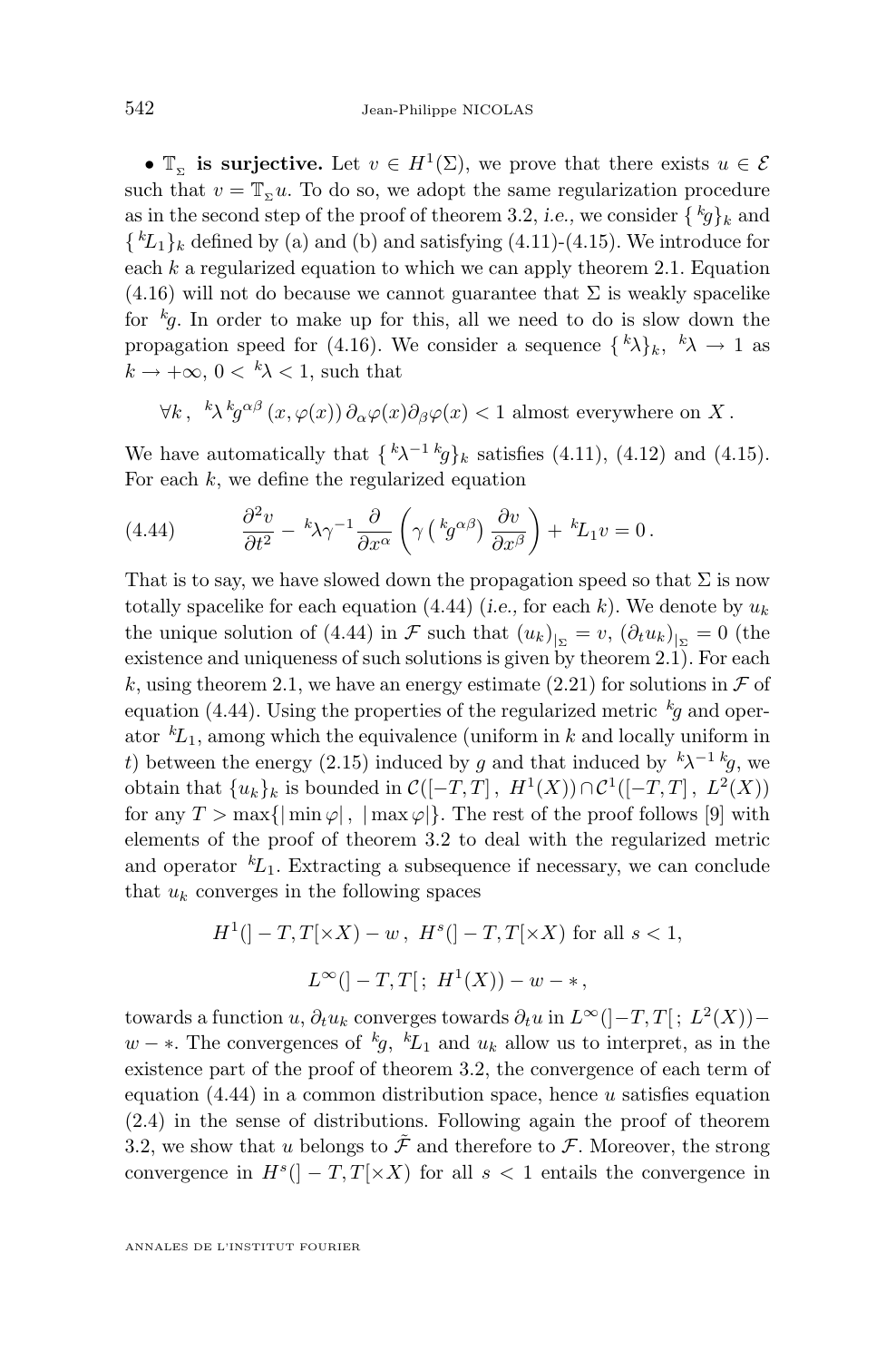•  $\mathbb{T}_{\Sigma}$  is surjective. Let  $v \in H^{1}(\Sigma)$ , we prove that there exists  $u \in \mathcal{E}$ such that  $v = \mathbb{T}_{\infty} u$ . To do so, we adopt the same regularization procedure as in the second step of the proof of theorem [3.2,](#page-9-0) *i.e.*, we consider  $\{\,^k g\}_k$  and  $\{ {}^k L_1 \}_k$  defined by (a) and (b) and satisfying [\(4.11\)](#page-16-0)-[\(4.15\)](#page-16-0). We introduce for each  $k$  a regularized equation to which we can apply theorem [2.1.](#page-7-0) Equation  $(4.16)$  will not do because we cannot guarantee that  $\Sigma$  is weakly spacelike for  ${}^kg$ . In order to make up for this, all we need to do is slow down the propagation speed for [\(4.16\)](#page-16-0). We consider a sequence  $\{\,^k\lambda\}_k, \,^k\lambda \to 1$  as  $k \to +\infty$ ,  $0 \lt k \lambda \lt 1$ , such that

$$
\forall k, \ {}^{k}\lambda^{k}g^{\alpha\beta}(x,\varphi(x))\partial_{\alpha}\varphi(x)\partial_{\beta}\varphi(x) < 1 \text{ almost everywhere on } X.
$$

We have automatically that  $\{\kappa \lambda^{-1} \kappa g\}_k$  satisfies [\(4.11\)](#page-16-0), [\(4.12\)](#page-16-0) and [\(4.15\)](#page-16-0). For each  $k$ , we define the regularized equation

(4.44) 
$$
\frac{\partial^2 v}{\partial t^2} - k \lambda \gamma^{-1} \frac{\partial}{\partial x^{\alpha}} \left( \gamma \left( k g^{\alpha \beta} \right) \frac{\partial v}{\partial x^{\beta}} \right) + k L_1 v = 0.
$$

That is to say, we have slowed down the propagation speed so that  $\Sigma$  is now totally spacelike for each equation  $(4.44)$  (*i.e.*, for each k). We denote by  $u_k$ the unique solution of (4.44) in  $\mathcal F$  such that  $(u_k)_{|_{\Sigma}} = v, (\partial_t u_k)_{|_{\Sigma}} = 0$  (the existence and uniqueness of such solutions is given by theorem [2.1\)](#page-7-0). For each k, using theorem [2.1,](#page-7-0) we have an energy estimate [\(2.21\)](#page-8-0) for solutions in  $\mathcal F$  of equation (4.44). Using the properties of the regularized metric  $k_g$  and operator  ${}^k\!L_1$ , among which the equivalence (uniform in k and locally uniform in t) between the energy [\(2.15\)](#page-7-0) induced by g and that induced by  $k\lambda^{-1}$  kg, we obtain that  $\{u_k\}_k$  is bounded in  $\mathcal{C}([-T,T], H^1(X)) \cap \mathcal{C}^1([-T,T], L^2(X))$ for any  $T > \max{\{\min \varphi\}, \{\max \varphi\}\}.$  The rest of the proof follows [\[9\]](#page-27-0) with elements of the proof of theorem [3.2](#page-9-0) to deal with the regularized metric and operator  ${}^kL_1$ . Extracting a subsequence if necessary, we can conclude that  $u_k$  converges in the following spaces

$$
H^{1}(]-T, T[\times X) - w, H^{s}(]-T, T[\times X) \text{ for all } s < 1,
$$
  

$$
L^{\infty}([-T, T[; H^{1}(X)) - w - *,
$$

towards a function u,  $\partial_t u_k$  converges towards  $\partial_t u$  in  $L^{\infty}([-T,T[; L^2(X))$  –  $w - *$ . The convergences of <sup>k</sup>g, <sup>k</sup>L<sub>1</sub> and  $u_k$  allow us to interpret, as in the existence part of the proof of theorem [3.2,](#page-9-0) the convergence of each term of equation  $(4.44)$  in a common distribution space, hence u satisfies equation [\(2.4\)](#page-5-0) in the sense of distributions. Following again the proof of theorem [3.2,](#page-9-0) we show that u belongs to  $\tilde{\mathcal{F}}$  and therefore to  $\mathcal{F}$ . Moreover, the strong convergence in  $H<sup>s</sup>(]-T,T[×X)$  for all  $s < 1$  entails the convergence in